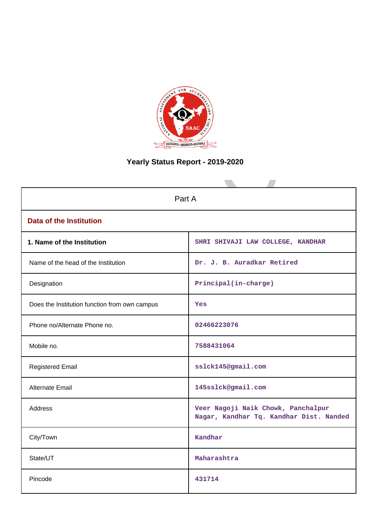

# **Yearly Status Report - 2019-2020**

| Part A                                        |                                                                               |  |  |  |  |
|-----------------------------------------------|-------------------------------------------------------------------------------|--|--|--|--|
| <b>Data of the Institution</b>                |                                                                               |  |  |  |  |
| 1. Name of the Institution                    | SHRI SHIVAJI LAW COLLEGE, KANDHAR                                             |  |  |  |  |
| Name of the head of the Institution           | Dr. J. B. Auradkar Retired                                                    |  |  |  |  |
| Designation                                   | Principal(in-charge)                                                          |  |  |  |  |
| Does the Institution function from own campus | Yes                                                                           |  |  |  |  |
| Phone no/Alternate Phone no.                  | 02466223076                                                                   |  |  |  |  |
| Mobile no.                                    | 7588431064                                                                    |  |  |  |  |
| <b>Registered Email</b>                       | sslck145@gmail.com                                                            |  |  |  |  |
| Alternate Email                               | 145sslck@gmail.com                                                            |  |  |  |  |
| <b>Address</b>                                | Veer Nagoji Naik Chowk, Panchalpur<br>Nagar, Kandhar Tq. Kandhar Dist. Nanded |  |  |  |  |
| City/Town                                     | Kandhar                                                                       |  |  |  |  |
| State/UT                                      | Maharashtra                                                                   |  |  |  |  |
| Pincode                                       | 431714                                                                        |  |  |  |  |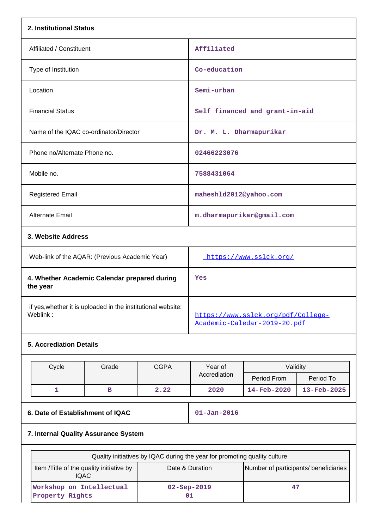| 2. Institutional Status                                                  |             |                                                                                                                                       |                                |             |  |  |  |
|--------------------------------------------------------------------------|-------------|---------------------------------------------------------------------------------------------------------------------------------------|--------------------------------|-------------|--|--|--|
| Affiliated / Constituent                                                 |             | Affiliated                                                                                                                            |                                |             |  |  |  |
| Type of Institution                                                      |             | Co-education                                                                                                                          |                                |             |  |  |  |
| Location                                                                 |             | Semi-urban                                                                                                                            |                                |             |  |  |  |
| <b>Financial Status</b>                                                  |             |                                                                                                                                       | Self financed and grant-in-aid |             |  |  |  |
| Name of the IQAC co-ordinator/Director                                   |             | Dr. M. L. Dharmapurikar                                                                                                               |                                |             |  |  |  |
| Phone no/Alternate Phone no.                                             |             | 02466223076                                                                                                                           |                                |             |  |  |  |
| Mobile no.                                                               |             | 7588431064                                                                                                                            |                                |             |  |  |  |
| <b>Registered Email</b>                                                  |             | mahesh1d2012@yahoo.com                                                                                                                |                                |             |  |  |  |
| <b>Alternate Email</b>                                                   |             |                                                                                                                                       | m.dharmapurikar@gmail.com      |             |  |  |  |
| 3. Website Address                                                       |             |                                                                                                                                       |                                |             |  |  |  |
| Web-link of the AQAR: (Previous Academic Year)                           |             | https://www.sslck.org/                                                                                                                |                                |             |  |  |  |
| 4. Whether Academic Calendar prepared during<br>the year                 |             | Yes                                                                                                                                   |                                |             |  |  |  |
| if yes, whether it is uploaded in the institutional website:<br>Weblink: |             | https://www.sslck.org/pdf/College-<br>Academic-Caledar-2019-20.pdf                                                                    |                                |             |  |  |  |
| <b>5. Accrediation Details</b>                                           |             |                                                                                                                                       |                                |             |  |  |  |
| Cycle<br>Grade                                                           | <b>CGPA</b> | Year of                                                                                                                               | Validity                       |             |  |  |  |
|                                                                          |             | Accrediation                                                                                                                          | Period From                    | Period To   |  |  |  |
| 1<br>в                                                                   | 2.22        | 2020                                                                                                                                  | 14-Feb-2020                    | 13-Feb-2025 |  |  |  |
| 6. Date of Establishment of IQAC                                         |             | $01 - Jan - 2016$                                                                                                                     |                                |             |  |  |  |
| 7. Internal Quality Assurance System                                     |             |                                                                                                                                       |                                |             |  |  |  |
|                                                                          |             |                                                                                                                                       |                                |             |  |  |  |
| Item /Title of the quality initiative by<br><b>IQAC</b>                  |             | Quality initiatives by IQAC during the year for promoting quality culture<br>Date & Duration<br>Number of participants/ beneficiaries |                                |             |  |  |  |
| Workshop on Intellectual<br>Property Rights                              |             | 02-Sep-2019<br>47<br>01                                                                                                               |                                |             |  |  |  |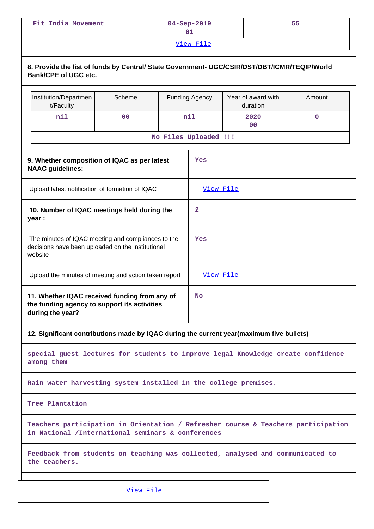| Fit India Movement | $04 - Sep - 2019$ | 55 |  |  |  |  |
|--------------------|-------------------|----|--|--|--|--|
| $V_i \in W$ File   |                   |    |  |  |  |  |

| 8. Provide the list of funds by Central/ State Government- UGC/CSIR/DST/DBT/ICMR/TEQIP/World<br><b>Bank/CPE of UGC etc.</b> |                |  |                       |                                                                                          |        |  |  |  |
|-----------------------------------------------------------------------------------------------------------------------------|----------------|--|-----------------------|------------------------------------------------------------------------------------------|--------|--|--|--|
| Institution/Departmen<br>t/Faculty                                                                                          | Scheme         |  | <b>Funding Agency</b> | Year of award with<br>duration                                                           | Amount |  |  |  |
| nil                                                                                                                         | 0 <sub>0</sub> |  | nil                   | 2020<br>0 <sup>0</sup>                                                                   | 0      |  |  |  |
| No Files Uploaded !!!                                                                                                       |                |  |                       |                                                                                          |        |  |  |  |
| 9. Whether composition of IQAC as per latest<br>Yes<br><b>NAAC</b> guidelines:                                              |                |  |                       |                                                                                          |        |  |  |  |
| Upload latest notification of formation of IQAC                                                                             |                |  | View File             |                                                                                          |        |  |  |  |
| 10. Number of IQAC meetings held during the<br>year :                                                                       |                |  | $\overline{2}$        |                                                                                          |        |  |  |  |
| The minutes of IQAC meeting and compliances to the<br>decisions have been uploaded on the institutional<br>website          |                |  | Yes                   |                                                                                          |        |  |  |  |
| Upload the minutes of meeting and action taken report                                                                       |                |  |                       | View File                                                                                |        |  |  |  |
| 11. Whether IQAC received funding from any of<br>the funding agency to support its activities<br>during the year?           |                |  | No                    |                                                                                          |        |  |  |  |
|                                                                                                                             |                |  |                       | 12. Significant contributions made by IQAC during the current year(maximum five bullets) |        |  |  |  |
| among them                                                                                                                  |                |  |                       | special guest lectures for students to improve legal Knowledge create confidence         |        |  |  |  |

**Rain water harvesting system installed in the college premises.**

**Tree Plantation**

**Teachers participation in Orientation / Refresher course & Teachers participation in National /International seminars & conferences**

**Feedback from students on teaching was collected, analysed and communicated to the teachers.**

[View File](https://assessmentonline.naac.gov.in/public/Postacc/Contribution/17013_Contribution.xlsx)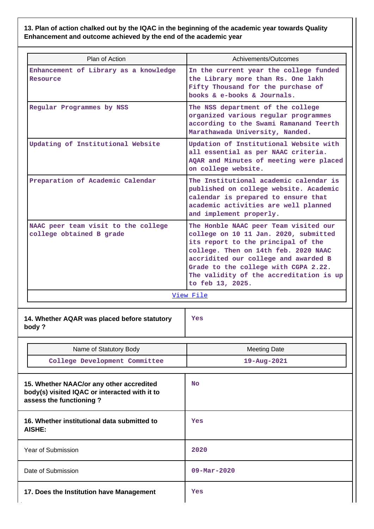**13. Plan of action chalked out by the IQAC in the beginning of the academic year towards Quality Enhancement and outcome achieved by the end of the academic year**

| Plan of Action                                                                                                       | Achivements/Outcomes                                                                                                                                                                                                                                                                                        |
|----------------------------------------------------------------------------------------------------------------------|-------------------------------------------------------------------------------------------------------------------------------------------------------------------------------------------------------------------------------------------------------------------------------------------------------------|
| Enhancement of Library as a knowledge<br>Resource                                                                    | In the current year the college funded<br>the Library more than Rs. One lakh<br>Fifty Thousand for the purchase of<br>books & e-books & Journals.                                                                                                                                                           |
| Regular Programmes by NSS                                                                                            | The NSS department of the college<br>organized various regular programmes<br>according to the Swami Ramanand Teerth<br>Marathawada University, Nanded.                                                                                                                                                      |
| Updating of Institutional Website                                                                                    | Updation of Institutional Website with<br>all essential as per NAAC criteria.<br>AQAR and Minutes of meeting were placed<br>on college website.                                                                                                                                                             |
| Preparation of Academic Calendar                                                                                     | The Institutional academic calendar is<br>published on college website. Academic<br>calendar is prepared to ensure that<br>academic activities are well planned<br>and implement properly.                                                                                                                  |
| NAAC peer team visit to the college<br>college obtained B grade                                                      | The Honble NAAC peer Team visited our<br>college on 10 11 Jan. 2020, submitted<br>its report to the principal of the<br>college. Then on 14th feb. 2020 NAAC<br>accridited our college and awarded B<br>Grade to the college with CGPA 2.22.<br>The validity of the accreditation is up<br>to feb 13, 2025. |
|                                                                                                                      | View File                                                                                                                                                                                                                                                                                                   |
| 14. Whether AQAR was placed before statutory<br>body?                                                                | Yes                                                                                                                                                                                                                                                                                                         |
| Name of Statutory Body                                                                                               | <b>Meeting Date</b>                                                                                                                                                                                                                                                                                         |
| College Development Committee                                                                                        | 19-Aug-2021                                                                                                                                                                                                                                                                                                 |
| 15. Whether NAAC/or any other accredited<br>body(s) visited IQAC or interacted with it to<br>assess the functioning? | <b>No</b>                                                                                                                                                                                                                                                                                                   |
| 16. Whether institutional data submitted to<br>AISHE:                                                                | Yes                                                                                                                                                                                                                                                                                                         |
| Year of Submission                                                                                                   | 2020                                                                                                                                                                                                                                                                                                        |
| Date of Submission                                                                                                   | $09 - \text{Mar} - 2020$                                                                                                                                                                                                                                                                                    |
| 17. Does the Institution have Management                                                                             | Yes                                                                                                                                                                                                                                                                                                         |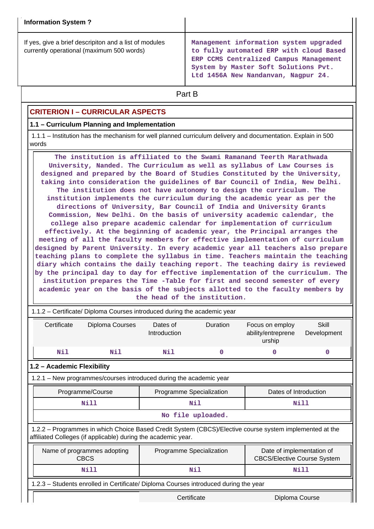| <b>Information System?</b>                                                                          |                                                                                                                                                                                                            |
|-----------------------------------------------------------------------------------------------------|------------------------------------------------------------------------------------------------------------------------------------------------------------------------------------------------------------|
| If yes, give a brief descripiton and a list of modules<br>currently operational (maximum 500 words) | Management information system upgraded<br>to fully automated ERP with cloud Based<br>ERP CCMS Centralized Campus Management<br>System by Master Soft Solutions Pvt.<br>Ltd 1456A New Nandanvan, Nagpur 24. |

# **Part B**

# **CRITERION I – CURRICULAR ASPECTS**

#### **1.1 – Curriculum Planning and Implementation**

 1.1.1 – Institution has the mechanism for well planned curriculum delivery and documentation. Explain in 500 words

 **The institution is affiliated to the Swami Ramanand Teerth Marathwada University, Nanded. The Curriculum as well as syllabus of Law Courses is designed and prepared by the Board of Studies Constituted by the University, taking into consideration the guidelines of Bar Council of India, New Delhi. The institution does not have autonomy to design the curriculum. The institution implements the curriculum during the academic year as per the directions of University, Bar Council of India and University Grants Commission, New Delhi. On the basis of university academic calendar, the college also prepare academic calendar for implementation of curriculum effectively. At the beginning of academic year, the Principal arranges the meeting of all the faculty members for effective implementation of curriculum designed by Parent University. In every academic year all teachers also prepare teaching plans to complete the syllabus in time. Teachers maintain the teaching diary which contains the daily teaching report. The teaching dairy is reviewed by the principal day to day for effective implementation of the curriculum. The institution prepares the Time -Table for first and second semester of every academic year on the basis of the subjects allotted to the faculty members by the head of the institution.**

| 1.1.2 - Certificate/ Diploma Courses introduced during the academic year                                                                                                 |                                                                                                                                           |                          |                    |                                                 |                      |  |  |
|--------------------------------------------------------------------------------------------------------------------------------------------------------------------------|-------------------------------------------------------------------------------------------------------------------------------------------|--------------------------|--------------------|-------------------------------------------------|----------------------|--|--|
| Certificate                                                                                                                                                              | Diploma Courses                                                                                                                           | Dates of<br>Introduction | Duration           | Focus on employ<br>ability/entreprene<br>urship | Skill<br>Development |  |  |
| Nil                                                                                                                                                                      | Nil                                                                                                                                       | Nil                      | $\mathbf 0$        | 0                                               | $\Omega$             |  |  |
| 1.2 - Academic Flexibility                                                                                                                                               |                                                                                                                                           |                          |                    |                                                 |                      |  |  |
| 1.2.1 - New programmes/courses introduced during the academic year                                                                                                       |                                                                                                                                           |                          |                    |                                                 |                      |  |  |
|                                                                                                                                                                          | Programme/Course                                                                                                                          | Programme Specialization |                    | Dates of Introduction                           |                      |  |  |
|                                                                                                                                                                          | <b>Nill</b>                                                                                                                               |                          | Nil                | Nill                                            |                      |  |  |
|                                                                                                                                                                          |                                                                                                                                           |                          | No file uploaded.  |                                                 |                      |  |  |
| 1.2.2 - Programmes in which Choice Based Credit System (CBCS)/Elective course system implemented at the<br>affiliated Colleges (if applicable) during the academic year. |                                                                                                                                           |                          |                    |                                                 |                      |  |  |
|                                                                                                                                                                          | Date of implementation of<br>Name of programmes adopting<br>Programme Specialization<br><b>CBCS</b><br><b>CBCS/Elective Course System</b> |                          |                    |                                                 |                      |  |  |
|                                                                                                                                                                          | Nill                                                                                                                                      |                          | <b>Nill</b><br>Nil |                                                 |                      |  |  |
|                                                                                                                                                                          | 1.2.3 - Students enrolled in Certificate/ Diploma Courses introduced during the year                                                      |                          |                    |                                                 |                      |  |  |
|                                                                                                                                                                          |                                                                                                                                           | Certificate              |                    | Diploma Course                                  |                      |  |  |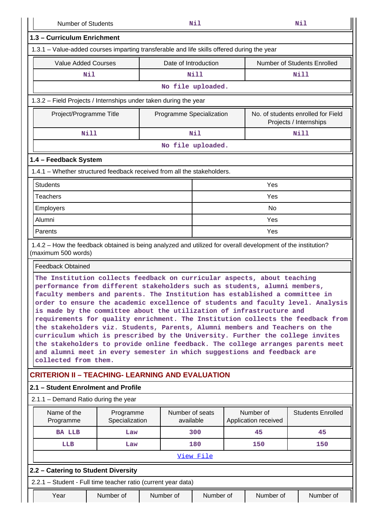| <b>Number of Students</b>                                                                                                                                                                                                                                                                                                                                                                                                                                                                                                                                                                                                                                                                                                                                                                                                              |                             |                                                     |                              | Nil                      |  |                                   | Nil                                                          |
|----------------------------------------------------------------------------------------------------------------------------------------------------------------------------------------------------------------------------------------------------------------------------------------------------------------------------------------------------------------------------------------------------------------------------------------------------------------------------------------------------------------------------------------------------------------------------------------------------------------------------------------------------------------------------------------------------------------------------------------------------------------------------------------------------------------------------------------|-----------------------------|-----------------------------------------------------|------------------------------|--------------------------|--|-----------------------------------|--------------------------------------------------------------|
| 1.3 - Curriculum Enrichment                                                                                                                                                                                                                                                                                                                                                                                                                                                                                                                                                                                                                                                                                                                                                                                                            |                             |                                                     |                              |                          |  |                                   |                                                              |
| 1.3.1 – Value-added courses imparting transferable and life skills offered during the year                                                                                                                                                                                                                                                                                                                                                                                                                                                                                                                                                                                                                                                                                                                                             |                             |                                                     |                              |                          |  |                                   |                                                              |
| <b>Value Added Courses</b>                                                                                                                                                                                                                                                                                                                                                                                                                                                                                                                                                                                                                                                                                                                                                                                                             |                             | Date of Introduction<br>Number of Students Enrolled |                              |                          |  |                                   |                                                              |
| Nil                                                                                                                                                                                                                                                                                                                                                                                                                                                                                                                                                                                                                                                                                                                                                                                                                                    |                             |                                                     |                              | <b>Nill</b>              |  |                                   | Nill                                                         |
|                                                                                                                                                                                                                                                                                                                                                                                                                                                                                                                                                                                                                                                                                                                                                                                                                                        |                             |                                                     |                              | No file uploaded.        |  |                                   |                                                              |
| 1.3.2 – Field Projects / Internships under taken during the year                                                                                                                                                                                                                                                                                                                                                                                                                                                                                                                                                                                                                                                                                                                                                                       |                             |                                                     |                              |                          |  |                                   |                                                              |
| Project/Programme Title                                                                                                                                                                                                                                                                                                                                                                                                                                                                                                                                                                                                                                                                                                                                                                                                                |                             |                                                     |                              | Programme Specialization |  |                                   | No. of students enrolled for Field<br>Projects / Internships |
| <b>Nill</b>                                                                                                                                                                                                                                                                                                                                                                                                                                                                                                                                                                                                                                                                                                                                                                                                                            |                             |                                                     |                              | Nil                      |  |                                   | <b>Nill</b>                                                  |
| No file uploaded.                                                                                                                                                                                                                                                                                                                                                                                                                                                                                                                                                                                                                                                                                                                                                                                                                      |                             |                                                     |                              |                          |  |                                   |                                                              |
| 1.4 - Feedback System                                                                                                                                                                                                                                                                                                                                                                                                                                                                                                                                                                                                                                                                                                                                                                                                                  |                             |                                                     |                              |                          |  |                                   |                                                              |
| 1.4.1 - Whether structured feedback received from all the stakeholders.                                                                                                                                                                                                                                                                                                                                                                                                                                                                                                                                                                                                                                                                                                                                                                |                             |                                                     |                              |                          |  |                                   |                                                              |
| <b>Students</b>                                                                                                                                                                                                                                                                                                                                                                                                                                                                                                                                                                                                                                                                                                                                                                                                                        |                             |                                                     |                              |                          |  | Yes                               |                                                              |
| <b>Teachers</b>                                                                                                                                                                                                                                                                                                                                                                                                                                                                                                                                                                                                                                                                                                                                                                                                                        |                             |                                                     |                              |                          |  | Yes                               |                                                              |
| Employers                                                                                                                                                                                                                                                                                                                                                                                                                                                                                                                                                                                                                                                                                                                                                                                                                              |                             |                                                     |                              |                          |  | <b>No</b>                         |                                                              |
| Alumni                                                                                                                                                                                                                                                                                                                                                                                                                                                                                                                                                                                                                                                                                                                                                                                                                                 |                             |                                                     |                              |                          |  | Yes                               |                                                              |
| Parents                                                                                                                                                                                                                                                                                                                                                                                                                                                                                                                                                                                                                                                                                                                                                                                                                                |                             |                                                     |                              |                          |  | Yes                               |                                                              |
| 1.4.2 – How the feedback obtained is being analyzed and utilized for overall development of the institution?<br>(maximum 500 words)<br><b>Feedback Obtained</b>                                                                                                                                                                                                                                                                                                                                                                                                                                                                                                                                                                                                                                                                        |                             |                                                     |                              |                          |  |                                   |                                                              |
| The Institution collects feedback on curricular aspects, about teaching<br>performance from different stakeholders such as students, alumni members,<br>faculty members and parents. The Institution has established a committee in<br>order to ensure the academic excellence of students and faculty level. Analysis<br>is made by the committee about the utilization of infrastructure and<br>requirements for quality enrichment. The Institution collects the feedback from<br>the stakeholders viz. Students, Parents, Alumni members and Teachers on the<br>curriculum which is prescribed by the University. Further the college invites<br>the stakeholders to provide online feedback. The college arranges parents meet<br>and alumni meet in every semester in which suggestions and feedback are<br>collected from them. |                             |                                                     |                              |                          |  |                                   |                                                              |
| <b>CRITERION II – TEACHING- LEARNING AND EVALUATION</b>                                                                                                                                                                                                                                                                                                                                                                                                                                                                                                                                                                                                                                                                                                                                                                                |                             |                                                     |                              |                          |  |                                   |                                                              |
| 2.1 - Student Enrolment and Profile                                                                                                                                                                                                                                                                                                                                                                                                                                                                                                                                                                                                                                                                                                                                                                                                    |                             |                                                     |                              |                          |  |                                   |                                                              |
| 2.1.1 - Demand Ratio during the year                                                                                                                                                                                                                                                                                                                                                                                                                                                                                                                                                                                                                                                                                                                                                                                                   |                             |                                                     |                              |                          |  |                                   |                                                              |
| Name of the<br>Programme                                                                                                                                                                                                                                                                                                                                                                                                                                                                                                                                                                                                                                                                                                                                                                                                               | Programme<br>Specialization |                                                     | Number of seats<br>available |                          |  | Number of<br>Application received | <b>Students Enrolled</b>                                     |
| <b>BA LLB</b>                                                                                                                                                                                                                                                                                                                                                                                                                                                                                                                                                                                                                                                                                                                                                                                                                          | Law                         |                                                     |                              | 300                      |  | 45                                | 45                                                           |
| LLB                                                                                                                                                                                                                                                                                                                                                                                                                                                                                                                                                                                                                                                                                                                                                                                                                                    | Law                         |                                                     |                              | 180                      |  | 150                               | 150                                                          |
|                                                                                                                                                                                                                                                                                                                                                                                                                                                                                                                                                                                                                                                                                                                                                                                                                                        |                             |                                                     |                              | View File                |  |                                   |                                                              |
| 2.2 - Catering to Student Diversity                                                                                                                                                                                                                                                                                                                                                                                                                                                                                                                                                                                                                                                                                                                                                                                                    |                             |                                                     |                              |                          |  |                                   |                                                              |
| 2.2.1 - Student - Full time teacher ratio (current year data)                                                                                                                                                                                                                                                                                                                                                                                                                                                                                                                                                                                                                                                                                                                                                                          |                             |                                                     |                              |                          |  |                                   |                                                              |
| Year                                                                                                                                                                                                                                                                                                                                                                                                                                                                                                                                                                                                                                                                                                                                                                                                                                   | Number of                   |                                                     | Number of                    | Number of                |  | Number of                         | Number of                                                    |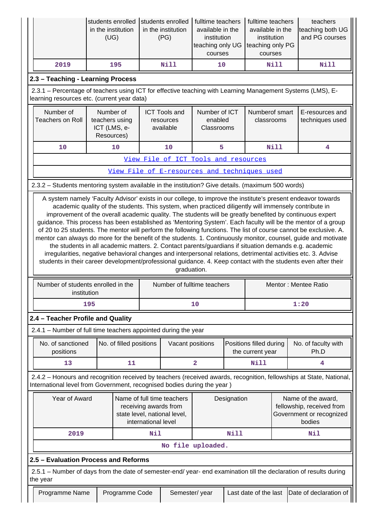|                                                                                                                                                                                                                                                                                                                                                                                                                                                                                                                                                                                                                                                                                                                                                                                                                                                                                                                                                                                                                                                        | students enrolled<br>in the institution<br>(UG)           |                         |     | students enrolled<br>in the institution<br>(PG) | fulltime teachers<br>available in the<br>institution<br>teaching only UG<br>courses |             | fulltime teachers<br>available in the<br>institution<br>teaching only PG<br>courses |                                                                                       | teachers<br>teaching both UG<br>and PG courses                                                                      |
|--------------------------------------------------------------------------------------------------------------------------------------------------------------------------------------------------------------------------------------------------------------------------------------------------------------------------------------------------------------------------------------------------------------------------------------------------------------------------------------------------------------------------------------------------------------------------------------------------------------------------------------------------------------------------------------------------------------------------------------------------------------------------------------------------------------------------------------------------------------------------------------------------------------------------------------------------------------------------------------------------------------------------------------------------------|-----------------------------------------------------------|-------------------------|-----|-------------------------------------------------|-------------------------------------------------------------------------------------|-------------|-------------------------------------------------------------------------------------|---------------------------------------------------------------------------------------|---------------------------------------------------------------------------------------------------------------------|
| 2019                                                                                                                                                                                                                                                                                                                                                                                                                                                                                                                                                                                                                                                                                                                                                                                                                                                                                                                                                                                                                                                   |                                                           | 195                     |     | <b>Nill</b>                                     | 10                                                                                  |             |                                                                                     | Nill                                                                                  | <b>Nill</b>                                                                                                         |
| 2.3 - Teaching - Learning Process                                                                                                                                                                                                                                                                                                                                                                                                                                                                                                                                                                                                                                                                                                                                                                                                                                                                                                                                                                                                                      |                                                           |                         |     |                                                 |                                                                                     |             |                                                                                     |                                                                                       |                                                                                                                     |
| 2.3.1 - Percentage of teachers using ICT for effective teaching with Learning Management Systems (LMS), E-<br>learning resources etc. (current year data)                                                                                                                                                                                                                                                                                                                                                                                                                                                                                                                                                                                                                                                                                                                                                                                                                                                                                              |                                                           |                         |     |                                                 |                                                                                     |             |                                                                                     |                                                                                       |                                                                                                                     |
| Number of<br><b>Teachers on Roll</b>                                                                                                                                                                                                                                                                                                                                                                                                                                                                                                                                                                                                                                                                                                                                                                                                                                                                                                                                                                                                                   | Number of<br>teachers using<br>ICT (LMS, e-<br>Resources) |                         |     | <b>ICT Tools and</b><br>resources<br>available  | Number of ICT<br>enabled<br>Classrooms                                              |             | Numberof smart<br>classrooms                                                        |                                                                                       | E-resources and<br>techniques used                                                                                  |
| 10                                                                                                                                                                                                                                                                                                                                                                                                                                                                                                                                                                                                                                                                                                                                                                                                                                                                                                                                                                                                                                                     |                                                           | 10                      |     | 10                                              | 5                                                                                   |             |                                                                                     | <b>Nill</b>                                                                           | 4                                                                                                                   |
| View File of ICT Tools and resources                                                                                                                                                                                                                                                                                                                                                                                                                                                                                                                                                                                                                                                                                                                                                                                                                                                                                                                                                                                                                   |                                                           |                         |     |                                                 |                                                                                     |             |                                                                                     |                                                                                       |                                                                                                                     |
|                                                                                                                                                                                                                                                                                                                                                                                                                                                                                                                                                                                                                                                                                                                                                                                                                                                                                                                                                                                                                                                        |                                                           |                         |     |                                                 | View File of E-resources and techniques used                                        |             |                                                                                     |                                                                                       |                                                                                                                     |
| 2.3.2 - Students mentoring system available in the institution? Give details. (maximum 500 words)                                                                                                                                                                                                                                                                                                                                                                                                                                                                                                                                                                                                                                                                                                                                                                                                                                                                                                                                                      |                                                           |                         |     |                                                 |                                                                                     |             |                                                                                     |                                                                                       |                                                                                                                     |
| A system namely 'Faculty Advisor' exists in our college, to improve the institute's present endeavor towards<br>academic quality of the students. This system, when practiced diligently will immensely contribute in<br>improvement of the overall academic quality. The students will be greatly benefited by continuous expert<br>guidance. This process has been established as 'Mentoring System'. Each faculty will be the mentor of a group<br>of 20 to 25 students. The mentor will perform the following functions. The list of course cannot be exclusive. A.<br>mentor can always do more for the benefit of the students. 1. Continuously monitor, counsel, guide and motivate<br>the students in all academic matters. 2. Contact parents/guardians if situation demands e.g. academic<br>irregularities, negative behavioral changes and interpersonal relations, detrimental activities etc. 3. Advise<br>students in their career development/professional guidance. 4. Keep contact with the students even after their<br>graduation. |                                                           |                         |     |                                                 |                                                                                     |             |                                                                                     |                                                                                       |                                                                                                                     |
| Number of students enrolled in the<br>institution                                                                                                                                                                                                                                                                                                                                                                                                                                                                                                                                                                                                                                                                                                                                                                                                                                                                                                                                                                                                      |                                                           |                         |     |                                                 | Number of fulltime teachers                                                         |             |                                                                                     |                                                                                       | Mentor: Mentee Ratio                                                                                                |
|                                                                                                                                                                                                                                                                                                                                                                                                                                                                                                                                                                                                                                                                                                                                                                                                                                                                                                                                                                                                                                                        | 195                                                       |                         |     |                                                 | 10                                                                                  |             |                                                                                     |                                                                                       | 1:20                                                                                                                |
| 2.4 - Teacher Profile and Quality                                                                                                                                                                                                                                                                                                                                                                                                                                                                                                                                                                                                                                                                                                                                                                                                                                                                                                                                                                                                                      |                                                           |                         |     |                                                 |                                                                                     |             |                                                                                     |                                                                                       |                                                                                                                     |
| 2.4.1 – Number of full time teachers appointed during the year                                                                                                                                                                                                                                                                                                                                                                                                                                                                                                                                                                                                                                                                                                                                                                                                                                                                                                                                                                                         |                                                           |                         |     |                                                 |                                                                                     |             |                                                                                     |                                                                                       |                                                                                                                     |
| No. of sanctioned<br>positions                                                                                                                                                                                                                                                                                                                                                                                                                                                                                                                                                                                                                                                                                                                                                                                                                                                                                                                                                                                                                         |                                                           | No. of filled positions |     | Vacant positions                                |                                                                                     |             | Positions filled during<br>the current year                                         |                                                                                       | No. of faculty with<br>Ph.D                                                                                         |
| 13                                                                                                                                                                                                                                                                                                                                                                                                                                                                                                                                                                                                                                                                                                                                                                                                                                                                                                                                                                                                                                                     |                                                           | 11                      |     |                                                 | $\overline{\mathbf{2}}$                                                             |             | <b>Nill</b>                                                                         |                                                                                       | 4                                                                                                                   |
| International level from Government, recognised bodies during the year)                                                                                                                                                                                                                                                                                                                                                                                                                                                                                                                                                                                                                                                                                                                                                                                                                                                                                                                                                                                |                                                           |                         |     |                                                 |                                                                                     |             |                                                                                     |                                                                                       | 2.4.2 - Honours and recognition received by teachers (received awards, recognition, fellowships at State, National, |
| Year of Award<br>Name of full time teachers<br>receiving awards from<br>state level, national level,<br>international level                                                                                                                                                                                                                                                                                                                                                                                                                                                                                                                                                                                                                                                                                                                                                                                                                                                                                                                            |                                                           |                         |     |                                                 | Designation                                                                         |             |                                                                                     | Name of the award,<br>fellowship, received from<br>Government or recognized<br>bodies |                                                                                                                     |
| 2019                                                                                                                                                                                                                                                                                                                                                                                                                                                                                                                                                                                                                                                                                                                                                                                                                                                                                                                                                                                                                                                   |                                                           |                         | Nil |                                                 |                                                                                     | <b>Nill</b> |                                                                                     |                                                                                       | Nil                                                                                                                 |
|                                                                                                                                                                                                                                                                                                                                                                                                                                                                                                                                                                                                                                                                                                                                                                                                                                                                                                                                                                                                                                                        |                                                           |                         |     |                                                 | No file uploaded.                                                                   |             |                                                                                     |                                                                                       |                                                                                                                     |
| 2.5 - Evaluation Process and Reforms                                                                                                                                                                                                                                                                                                                                                                                                                                                                                                                                                                                                                                                                                                                                                                                                                                                                                                                                                                                                                   |                                                           |                         |     |                                                 |                                                                                     |             |                                                                                     |                                                                                       |                                                                                                                     |
| the year                                                                                                                                                                                                                                                                                                                                                                                                                                                                                                                                                                                                                                                                                                                                                                                                                                                                                                                                                                                                                                               |                                                           |                         |     |                                                 |                                                                                     |             |                                                                                     |                                                                                       | 2.5.1 - Number of days from the date of semester-end/ year- end examination till the declaration of results during  |
| Programme Name                                                                                                                                                                                                                                                                                                                                                                                                                                                                                                                                                                                                                                                                                                                                                                                                                                                                                                                                                                                                                                         |                                                           | Programme Code          |     | Semester/year                                   |                                                                                     |             | Last date of the last                                                               |                                                                                       | Date of declaration of                                                                                              |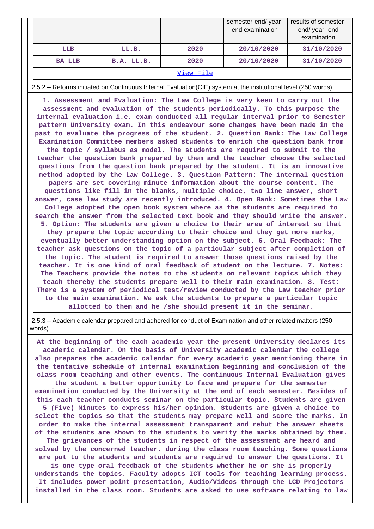|               |            |      | semester-end/year-<br>end examination | results of semester-<br>end/ year- end<br>examination |  |  |
|---------------|------------|------|---------------------------------------|-------------------------------------------------------|--|--|
| LLB           | LL.B.      | 2020 | 20/10/2020                            | 31/10/2020                                            |  |  |
| <b>BA LLB</b> | B.A. LL.B. | 2020 | 20/10/2020                            | 31/10/2020                                            |  |  |
| View File     |            |      |                                       |                                                       |  |  |

2.5.2 – Reforms initiated on Continuous Internal Evaluation(CIE) system at the institutional level (250 words)

 **1. Assessment and Evaluation: The Law College is very keen to carry out the assessment and evaluation of the students periodically. To this purpose the internal evaluation i.e. exam conducted all regular interval prior to Semester pattern University exam. In this endeavour some changes have been made in the past to evaluate the progress of the student. 2. Question Bank: The Law College Examination Committee members asked students to enrich the question bank from the topic / syllabus as model. The students are required to submit to the teacher the question bank prepared by them and the teacher choose the selected questions from the question bank prepared by the student. It is an innovative method adopted by the Law College. 3. Question Pattern: The internal question papers are set covering minute information about the course content. The questions like fill in the blanks, multiple choice, two line answer, short answer, case law study are recently introduced. 4. Open Bank: Sometimes the Law College adopted the open book system where as the students are required to search the answer from the selected text book and they should write the answer. 5. Option: The students are given a choice to their area of interest so that they prepare the topic according to their choice and they get more marks, eventually better understanding option on the subject. 6. Oral Feedback: The teacher ask questions on the topic of a particular subject after completion of the topic. The student is required to answer those questions raised by the teacher. It is one kind of oral feedback of student on the lecture. 7. Notes: The Teachers provide the notes to the students on relevant topics which they teach thereby the students prepare well to their main examination. 8. Test: There is a system of periodical test/review conducted by the Law teacher prior to the main examination. We ask the students to prepare a particular topic allotted to them and he /she should present it in the seminar.**

 2.5.3 – Academic calendar prepared and adhered for conduct of Examination and other related matters (250 words)

 **At the beginning of the each academic year the present University declares its academic calendar. On the basis of University academic calendar the college also prepares the academic calendar for every academic year mentioning there in the tentative schedule of internal examination beginning and conclusion of the class room teaching and other events. The continuous Internal Evaluation gives the student a better opportunity to face and prepare for the semester examination conducted by the University at the end of each semester. Besides of this each teacher conducts seminar on the particular topic. Students are given 5 (Five) Minutes to express his/her opinion. Students are given a choice to select the topics so that the students may prepare well and score the marks. In order to make the internal assessment transparent and rebut the answer sheets of the students are shown to the students to verity the marks obtained by them. The grievances of the students in respect of the assessment are heard and solved by the concerned teacher. during the class room teaching. Some questions are put to the students and students are required to answer the questions. It is one type oral feedback of the students whether he or she is properly understands the topics. Faculty adopts ICT tools for teaching learning process. It includes power point presentation, Audio/Videos through the LCD Projectors installed in the class room. Students are asked to use software relating to law**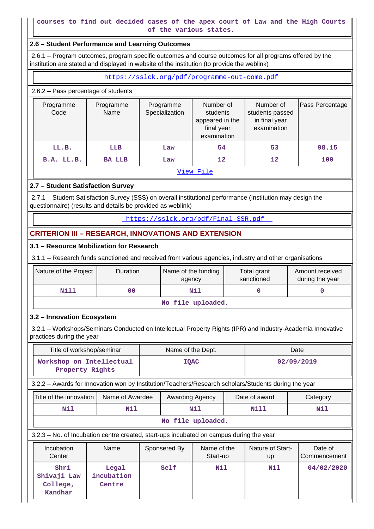#### **courses to find out decided cases of the apex court of Law and the High Courts of the various states.**

#### **2.6 – Student Performance and Learning Outcomes**

 2.6.1 – Program outcomes, program specific outcomes and course outcomes for all programs offered by the institution are stated and displayed in website of the institution (to provide the weblink)

<https://sslck.org/pdf/programme-out-come.pdf>

#### 2.6.2 – Pass percentage of students

| Programme<br>Code | Programme<br>Name | Programme<br>Specialization | Number of<br>students<br>appeared in the<br>final year<br>examination | Number of<br>students passed<br>in final year<br>examination | Pass Percentage |
|-------------------|-------------------|-----------------------------|-----------------------------------------------------------------------|--------------------------------------------------------------|-----------------|
| LL.B.             | <b>LLB</b>        | Law                         | 54                                                                    | 53                                                           | 98.15           |
| B.A. LL.B.        | <b>BA LLB</b>     | Law                         | 12                                                                    | $12 \overline{ }$                                            | 100             |

[View File](https://assessmentonline.naac.gov.in/public/Postacc/Pass_percentage/17013_Pass_percentage_1639481057.xlsx)

## **2.7 – Student Satisfaction Survey**

 2.7.1 – Student Satisfaction Survey (SSS) on overall institutional performance (Institution may design the questionnaire) (results and details be provided as weblink)

<https://sslck.org/pdf/Final-SSR.pdf>

# **CRITERION III – RESEARCH, INNOVATIONS AND EXTENSION**

#### **3.1 – Resource Mobilization for Research**

3.1.1 – Research funds sanctioned and received from various agencies, industry and other organisations

| Nature of the Project | Duration | Name of the funding<br>agency | Total grant<br>sanctioned | Amount received<br>during the year |
|-----------------------|----------|-------------------------------|---------------------------|------------------------------------|
| Nill                  | 00       | Nil                           |                           |                                    |

**No file uploaded.**

## **3.2 – Innovation Ecosystem**

 3.2.1 – Workshops/Seminars Conducted on Intellectual Property Rights (IPR) and Industry-Academia Innovative practices during the year

| Title of workshop/seminar                                                                            |                               | Name of the Dept. |                 |                         | Date |                        |     |                         |
|------------------------------------------------------------------------------------------------------|-------------------------------|-------------------|-----------------|-------------------------|------|------------------------|-----|-------------------------|
| Workshop on Intellectual<br>Property Rights                                                          | <b>IQAC</b>                   |                   |                 | 02/09/2019              |      |                        |     |                         |
| 3.2.2 - Awards for Innovation won by Institution/Teachers/Research scholars/Students during the year |                               |                   |                 |                         |      |                        |     |                         |
| Title of the innovation                                                                              | Name of Awardee               |                   | Awarding Agency |                         |      | Date of award          |     | Category                |
| Nil                                                                                                  | Nil                           |                   | Nil             |                         | Nill |                        | Nil |                         |
|                                                                                                      |                               |                   |                 | No file uploaded.       |      |                        |     |                         |
| 3.2.3 – No. of Incubation centre created, start-ups incubated on campus during the year              |                               |                   |                 |                         |      |                        |     |                         |
| Incubation<br>Center                                                                                 | Name                          |                   | Sponsered By    | Name of the<br>Start-up |      | Nature of Start-<br>up |     | Date of<br>Commencement |
| Shri<br>Shivaji Law<br>College,<br>Kandhar                                                           | Legal<br>incubation<br>Centre |                   | Self            | Nil                     |      | Nil                    |     | 04/02/2020              |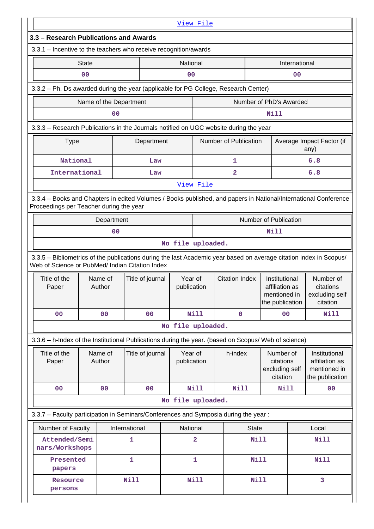|                                                                                                                                                                       | View File                                                                                                                                                  |                  |                   |                        |                       |                                                                    |               |                                                                    |  |
|-----------------------------------------------------------------------------------------------------------------------------------------------------------------------|------------------------------------------------------------------------------------------------------------------------------------------------------------|------------------|-------------------|------------------------|-----------------------|--------------------------------------------------------------------|---------------|--------------------------------------------------------------------|--|
| 3.3 - Research Publications and Awards                                                                                                                                |                                                                                                                                                            |                  |                   |                        |                       |                                                                    |               |                                                                    |  |
| 3.3.1 - Incentive to the teachers who receive recognition/awards                                                                                                      |                                                                                                                                                            |                  |                   |                        |                       |                                                                    |               |                                                                    |  |
|                                                                                                                                                                       | <b>State</b>                                                                                                                                               |                  |                   | National               |                       |                                                                    | International |                                                                    |  |
|                                                                                                                                                                       | 0 <sub>0</sub>                                                                                                                                             |                  |                   | 00<br>00               |                       |                                                                    |               |                                                                    |  |
| 3.3.2 - Ph. Ds awarded during the year (applicable for PG College, Research Center)                                                                                   |                                                                                                                                                            |                  |                   |                        |                       |                                                                    |               |                                                                    |  |
|                                                                                                                                                                       | Name of the Department                                                                                                                                     |                  |                   |                        |                       | Number of PhD's Awarded                                            |               |                                                                    |  |
|                                                                                                                                                                       | 0 <sub>0</sub>                                                                                                                                             |                  |                   |                        |                       | <b>Nill</b>                                                        |               |                                                                    |  |
| 3.3.3 - Research Publications in the Journals notified on UGC website during the year                                                                                 |                                                                                                                                                            |                  |                   |                        |                       |                                                                    |               |                                                                    |  |
| <b>Type</b>                                                                                                                                                           |                                                                                                                                                            | Department       |                   |                        | Number of Publication |                                                                    |               | Average Impact Factor (if<br>any)                                  |  |
| National                                                                                                                                                              |                                                                                                                                                            | Law              |                   |                        | 1                     |                                                                    |               | 6.8                                                                |  |
| International                                                                                                                                                         |                                                                                                                                                            | Law              |                   |                        | $\overline{a}$        |                                                                    |               | 6.8                                                                |  |
|                                                                                                                                                                       |                                                                                                                                                            |                  |                   | View File              |                       |                                                                    |               |                                                                    |  |
|                                                                                                                                                                       | 3.3.4 - Books and Chapters in edited Volumes / Books published, and papers in National/International Conference<br>Proceedings per Teacher during the year |                  |                   |                        |                       |                                                                    |               |                                                                    |  |
|                                                                                                                                                                       | Department                                                                                                                                                 |                  |                   | Number of Publication  |                       |                                                                    |               |                                                                    |  |
|                                                                                                                                                                       | 0 <sub>0</sub>                                                                                                                                             |                  |                   |                        |                       | Nill                                                               |               |                                                                    |  |
|                                                                                                                                                                       |                                                                                                                                                            |                  | No file uploaded. |                        |                       |                                                                    |               |                                                                    |  |
| 3.3.5 - Bibliometrics of the publications during the last Academic year based on average citation index in Scopus/<br>Web of Science or PubMed/ Indian Citation Index |                                                                                                                                                            |                  |                   |                        |                       |                                                                    |               |                                                                    |  |
| Title of the<br>Paper                                                                                                                                                 | Name of<br>Author                                                                                                                                          | Title of journal |                   | Year of<br>publication | <b>Citation Index</b> | Institutional<br>affiliation as<br>mentioned in<br>the publication |               | Number of<br>citations                                             |  |
|                                                                                                                                                                       |                                                                                                                                                            |                  |                   |                        |                       |                                                                    |               | citation                                                           |  |
| 00                                                                                                                                                                    | 0 <sub>0</sub>                                                                                                                                             | 00               |                   | <b>Nill</b>            | $\mathbf 0$           | 00                                                                 |               | excluding self<br>Nill                                             |  |
|                                                                                                                                                                       |                                                                                                                                                            |                  | No file uploaded. |                        |                       |                                                                    |               |                                                                    |  |
| 3.3.6 - h-Index of the Institutional Publications during the year. (based on Scopus/ Web of science)                                                                  |                                                                                                                                                            |                  |                   |                        |                       |                                                                    |               |                                                                    |  |
| Title of the<br>Paper                                                                                                                                                 | Name of<br>Author                                                                                                                                          | Title of journal |                   | Year of<br>publication | h-index               | Number of<br>citations<br>excluding self<br>citation               |               | Institutional<br>affiliation as<br>mentioned in<br>the publication |  |
| 0 <sub>0</sub>                                                                                                                                                        | 0 <sub>0</sub>                                                                                                                                             | 00               |                   | <b>Nill</b>            | <b>Nill</b>           | Nill                                                               |               | 00                                                                 |  |
|                                                                                                                                                                       |                                                                                                                                                            |                  | No file uploaded. |                        |                       |                                                                    |               |                                                                    |  |
|                                                                                                                                                                       |                                                                                                                                                            |                  |                   |                        |                       |                                                                    |               |                                                                    |  |
| 3.3.7 - Faculty participation in Seminars/Conferences and Symposia during the year:<br>Number of Faculty                                                              |                                                                                                                                                            | International    |                   | National               | <b>State</b>          |                                                                    |               | Local                                                              |  |
| Attended/Semi<br>nars/Workshops                                                                                                                                       |                                                                                                                                                            | 1                |                   | 2                      | <b>Nill</b>           |                                                                    |               | <b>Nill</b>                                                        |  |
| Presented<br>papers                                                                                                                                                   |                                                                                                                                                            | $\mathbf{1}$     |                   | $\mathbf{1}$           | <b>Nill</b>           |                                                                    |               | <b>Nill</b>                                                        |  |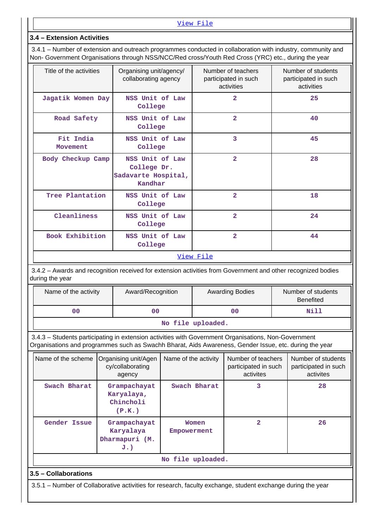[View File](https://assessmentonline.naac.gov.in/public/Postacc/Faculty_participation/17013_Faculty_participation_1639485135.xlsx)

## **3.4 – Extension Activities**

 3.4.1 – Number of extension and outreach programmes conducted in collaboration with industry, community and Non- Government Organisations through NSS/NCC/Red cross/Youth Red Cross (YRC) etc., during the year

| Title of the activities | Organising unit/agency/<br>collaborating agency                  | Number of teachers<br>participated in such<br>activities | Number of students<br>participated in such<br>activities |  |  |  |  |
|-------------------------|------------------------------------------------------------------|----------------------------------------------------------|----------------------------------------------------------|--|--|--|--|
| Jagatik Women Day       | NSS Unit of Law<br>College                                       | $\overline{2}$                                           | 25                                                       |  |  |  |  |
| Road Safety             | NSS Unit of Law<br>College                                       | $\overline{2}$                                           | 40                                                       |  |  |  |  |
| Fit India<br>Movement   | NSS Unit of Law<br>College                                       | 3                                                        | 45                                                       |  |  |  |  |
| Body Checkup Camp       | NSS Unit of Law<br>College Dr.<br>Sadavarte Hospital,<br>Kandhar | $\overline{2}$                                           | 28                                                       |  |  |  |  |
| Tree Plantation         | NSS Unit of Law<br>College                                       | $\overline{2}$                                           | 18                                                       |  |  |  |  |
| Cleanliness             | NSS Unit of Law<br>College                                       | $\overline{2}$                                           | 24                                                       |  |  |  |  |
| Book Exhibition         | NSS Unit of Law<br>College                                       | $\overline{2}$                                           | 44                                                       |  |  |  |  |
|                         | View File                                                        |                                                          |                                                          |  |  |  |  |

 3.4.2 – Awards and recognition received for extension activities from Government and other recognized bodies during the year

| Name of the activity | Award/Recognition | <b>Awarding Bodies</b> | Number of students<br><b>Benefited</b> |  |  |  |
|----------------------|-------------------|------------------------|----------------------------------------|--|--|--|
| 00                   | 00                | 00                     | Nill                                   |  |  |  |
| ata 441a ugusta adal |                   |                        |                                        |  |  |  |

#### **No file uploaded.**

 3.4.3 – Students participating in extension activities with Government Organisations, Non-Government Organisations and programmes such as Swachh Bharat, Aids Awareness, Gender Issue, etc. during the year

| Name of the scheme | Organising unit/Agen<br>cy/collaborating<br>agency | Name of the activity | Number of teachers<br>participated in such<br>activites | Number of students<br>participated in such<br>activites |
|--------------------|----------------------------------------------------|----------------------|---------------------------------------------------------|---------------------------------------------------------|
| Swach Bharat       | Grampachayat<br>Karyalaya,<br>Chincholi<br>(P.K.)  | Swach Bharat         | 3                                                       | 28                                                      |
| Gender Issue       | Grampachayat<br>Karyalaya<br>Dharmapuri (M.<br>J.) | Women<br>Empowerment | 2                                                       | 26                                                      |
|                    |                                                    | No file uploaded.    |                                                         |                                                         |

## **3.5 – Collaborations**

3.5.1 – Number of Collaborative activities for research, faculty exchange, student exchange during the year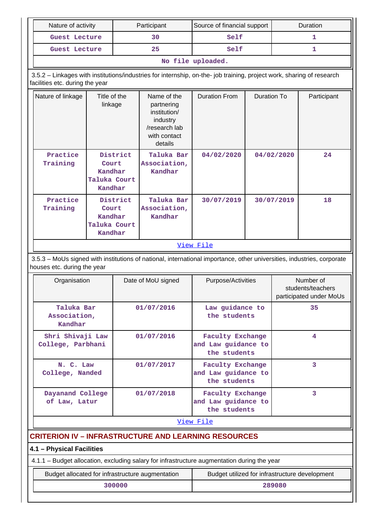| Nature of activity                                                                                                                                    |                                                         |        | Participant                                                                                       | Source of financial support                                                                                           |                    | Duration                                                  |             |  |
|-------------------------------------------------------------------------------------------------------------------------------------------------------|---------------------------------------------------------|--------|---------------------------------------------------------------------------------------------------|-----------------------------------------------------------------------------------------------------------------------|--------------------|-----------------------------------------------------------|-------------|--|
| Guest Lecture                                                                                                                                         |                                                         |        | 30                                                                                                | Self                                                                                                                  |                    |                                                           | 1           |  |
| Guest Lecture                                                                                                                                         |                                                         |        | 25                                                                                                | Self                                                                                                                  |                    |                                                           | 1           |  |
|                                                                                                                                                       |                                                         |        |                                                                                                   | No file uploaded.                                                                                                     |                    |                                                           |             |  |
| facilities etc. during the year                                                                                                                       |                                                         |        |                                                                                                   | 3.5.2 - Linkages with institutions/industries for internship, on-the- job training, project work, sharing of research |                    |                                                           |             |  |
| Nature of linkage                                                                                                                                     | Title of the<br>linkage                                 |        | Name of the<br>partnering<br>institution/<br>industry<br>/research lab<br>with contact<br>details | <b>Duration From</b>                                                                                                  | <b>Duration To</b> |                                                           | Participant |  |
| Practice<br>Training                                                                                                                                  | District<br>Court<br>Kandhar<br>Taluka Court<br>Kandhar |        | Taluka Bar<br>Association,<br>Kandhar                                                             | 04/02/2020                                                                                                            |                    | 04/02/2020                                                | 24          |  |
| Practice<br>Training                                                                                                                                  | District<br>Court<br>Kandhar<br>Taluka Court<br>Kandhar |        | Taluka Bar<br>Association,<br>Kandhar                                                             | 30/07/2019                                                                                                            |                    | 30/07/2019                                                | 18          |  |
| View File                                                                                                                                             |                                                         |        |                                                                                                   |                                                                                                                       |                    |                                                           |             |  |
| 3.5.3 - MoUs signed with institutions of national, international importance, other universities, industries, corporate<br>houses etc. during the year |                                                         |        |                                                                                                   |                                                                                                                       |                    |                                                           |             |  |
| Organisation                                                                                                                                          |                                                         |        | Date of MoU signed                                                                                | Purpose/Activities                                                                                                    |                    | Number of<br>students/teachers<br>participated under MoUs |             |  |
| Taluka Bar<br>Association,<br>Kandhar                                                                                                                 |                                                         |        | 01/07/2016                                                                                        | Law guidance to<br>the students                                                                                       |                    | 35                                                        |             |  |
| Shri Shivaji Law<br>College, Parbhani                                                                                                                 |                                                         |        | 01/07/2016                                                                                        | <b>Faculty Exchange</b><br>and Law guidance to<br>the students                                                        |                    |                                                           | 4           |  |
| N. C. Law<br>College, Nanded                                                                                                                          |                                                         |        | 01/07/2017                                                                                        | <b>Faculty Exchange</b><br>and Law guidance to<br>the students                                                        |                    |                                                           | 3           |  |
| Dayanand College<br>of Law, Latur                                                                                                                     |                                                         |        | 01/07/2018                                                                                        | <b>Faculty Exchange</b><br>and Law guidance to<br>the students                                                        |                    |                                                           | 3           |  |
|                                                                                                                                                       |                                                         |        |                                                                                                   | View File                                                                                                             |                    |                                                           |             |  |
|                                                                                                                                                       |                                                         |        |                                                                                                   | <b>CRITERION IV - INFRASTRUCTURE AND LEARNING RESOURCES</b>                                                           |                    |                                                           |             |  |
| 4.1 - Physical Facilities                                                                                                                             |                                                         |        |                                                                                                   |                                                                                                                       |                    |                                                           |             |  |
|                                                                                                                                                       |                                                         |        |                                                                                                   | 4.1.1 - Budget allocation, excluding salary for infrastructure augmentation during the year                           |                    |                                                           |             |  |
|                                                                                                                                                       |                                                         |        | Budget allocated for infrastructure augmentation                                                  | Budget utilized for infrastructure development                                                                        |                    |                                                           |             |  |
|                                                                                                                                                       |                                                         | 300000 |                                                                                                   |                                                                                                                       |                    | 289080                                                    |             |  |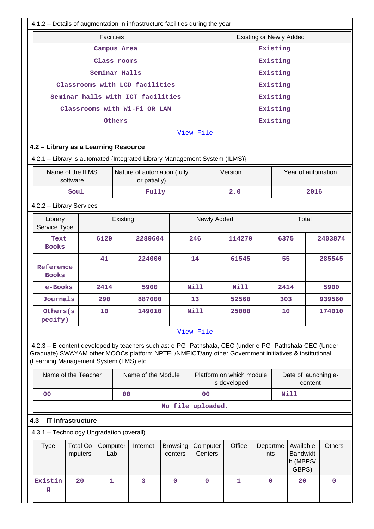| 4.1.2 - Details of augmentation in infrastructure facilities during the year                                                                                                                                                                            |                            |                   |               |                                             |                            |                                |                               |                                          |                 |                                                   |                      |         |               |
|---------------------------------------------------------------------------------------------------------------------------------------------------------------------------------------------------------------------------------------------------------|----------------------------|-------------------|---------------|---------------------------------------------|----------------------------|--------------------------------|-------------------------------|------------------------------------------|-----------------|---------------------------------------------------|----------------------|---------|---------------|
|                                                                                                                                                                                                                                                         |                            | <b>Facilities</b> |               |                                             |                            | <b>Existing or Newly Added</b> |                               |                                          |                 |                                                   |                      |         |               |
|                                                                                                                                                                                                                                                         |                            |                   | Campus Area   |                                             |                            |                                |                               |                                          |                 | Existing                                          |                      |         |               |
|                                                                                                                                                                                                                                                         |                            |                   | Class rooms   |                                             |                            | Existing                       |                               |                                          |                 |                                                   |                      |         |               |
|                                                                                                                                                                                                                                                         |                            |                   | Seminar Halls |                                             |                            | Existing                       |                               |                                          |                 |                                                   |                      |         |               |
|                                                                                                                                                                                                                                                         |                            |                   |               | Classrooms with LCD facilities              |                            |                                |                               |                                          |                 | Existing                                          |                      |         |               |
|                                                                                                                                                                                                                                                         |                            |                   |               | Seminar halls with ICT facilities           |                            |                                |                               |                                          |                 | Existing                                          |                      |         |               |
|                                                                                                                                                                                                                                                         |                            |                   |               | Classrooms with Wi-Fi OR LAN                |                            |                                |                               |                                          |                 | Existing                                          |                      |         |               |
|                                                                                                                                                                                                                                                         |                            |                   | Others        |                                             |                            |                                |                               |                                          |                 | Existing                                          |                      |         |               |
|                                                                                                                                                                                                                                                         |                            |                   |               |                                             |                            | View File                      |                               |                                          |                 |                                                   |                      |         |               |
| 4.2 - Library as a Learning Resource                                                                                                                                                                                                                    |                            |                   |               |                                             |                            |                                |                               |                                          |                 |                                                   |                      |         |               |
| 4.2.1 - Library is automated {Integrated Library Management System (ILMS)}                                                                                                                                                                              |                            |                   |               |                                             |                            |                                |                               |                                          |                 |                                                   |                      |         |               |
| Name of the ILMS<br>software                                                                                                                                                                                                                            |                            |                   |               | Nature of automation (fully<br>or patially) |                            |                                |                               | Version                                  |                 |                                                   | Year of automation   |         |               |
| Soul                                                                                                                                                                                                                                                    |                            |                   |               | Fully                                       |                            |                                |                               | 2.0                                      |                 |                                                   |                      | 2016    |               |
| 4.2.2 - Library Services                                                                                                                                                                                                                                |                            |                   |               |                                             |                            |                                |                               |                                          |                 |                                                   |                      |         |               |
| Library<br>Service Type                                                                                                                                                                                                                                 | Existing                   |                   |               |                                             |                            | Newly Added                    |                               |                                          |                 | Total                                             |                      |         |               |
| Text<br><b>Books</b>                                                                                                                                                                                                                                    |                            | 6129<br>2289604   |               |                                             |                            | 246                            |                               | 114270                                   |                 | 6375                                              |                      | 2403874 |               |
| Reference<br><b>Books</b>                                                                                                                                                                                                                               |                            | 41<br>224000      |               |                                             |                            | 14<br>61545                    |                               |                                          | 55              |                                                   |                      | 285545  |               |
| e-Books                                                                                                                                                                                                                                                 |                            | 2414              |               | 5900                                        |                            | <b>Nill</b><br><b>Nill</b>     |                               | 2414                                     |                 |                                                   | 5900                 |         |               |
| Journals                                                                                                                                                                                                                                                |                            | 290               |               | 887000                                      |                            | 13                             |                               | 52560                                    |                 | 303                                               |                      | 939560  |               |
| Others (s<br>pecify)                                                                                                                                                                                                                                    |                            | 10                |               | 149010                                      |                            | Nill<br>25000                  |                               |                                          | 10              |                                                   | 174010               |         |               |
|                                                                                                                                                                                                                                                         |                            |                   |               |                                             |                            | View File                      |                               |                                          |                 |                                                   |                      |         |               |
| 4.2.3 - E-content developed by teachers such as: e-PG- Pathshala, CEC (under e-PG- Pathshala CEC (Under<br>Graduate) SWAYAM other MOOCs platform NPTEL/NMEICT/any other Government initiatives & institutional<br>(Learning Management System (LMS) etc |                            |                   |               |                                             |                            |                                |                               |                                          |                 |                                                   |                      |         |               |
| Name of the Teacher                                                                                                                                                                                                                                     |                            |                   |               | Name of the Module                          |                            |                                |                               | Platform on which module<br>is developed |                 |                                                   | Date of launching e- | content |               |
| 00                                                                                                                                                                                                                                                      |                            |                   | 00            |                                             |                            | 0 <sub>0</sub>                 |                               |                                          |                 |                                                   | Nill                 |         |               |
|                                                                                                                                                                                                                                                         |                            |                   |               |                                             | No file uploaded.          |                                |                               |                                          |                 |                                                   |                      |         |               |
| 4.3 - IT Infrastructure                                                                                                                                                                                                                                 |                            |                   |               |                                             |                            |                                |                               |                                          |                 |                                                   |                      |         |               |
| 4.3.1 - Technology Upgradation (overall)                                                                                                                                                                                                                |                            |                   |               |                                             |                            |                                |                               |                                          |                 |                                                   |                      |         |               |
| <b>Type</b>                                                                                                                                                                                                                                             | <b>Total Co</b><br>mputers | Computer<br>Lab   |               | Internet                                    | <b>Browsing</b><br>centers |                                | Office<br>Computer<br>Centers |                                          | Departme<br>nts | Available<br><b>Bandwidt</b><br>h (MBPS/<br>GBPS) |                      |         | <b>Others</b> |
| Existin<br>g                                                                                                                                                                                                                                            | 20                         | 1                 |               | 3                                           | $\mathbf{0}$               | $\mathbf 0$                    |                               | 1                                        | $\mathbf{0}$    |                                                   | 20                   |         | $\mathbf 0$   |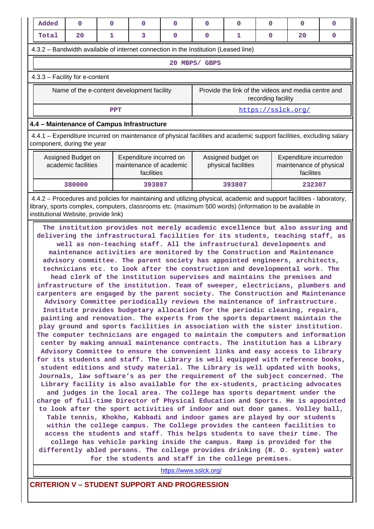| Added                                                                                                                                              | 0                                                                                   | $\Omega$   | $\Omega$                                                         | $\Omega$ | 0                                                                         | $\Omega$                                  | 0 | $\Omega$                                                       | 0 |  |
|----------------------------------------------------------------------------------------------------------------------------------------------------|-------------------------------------------------------------------------------------|------------|------------------------------------------------------------------|----------|---------------------------------------------------------------------------|-------------------------------------------|---|----------------------------------------------------------------|---|--|
| Total                                                                                                                                              | 20                                                                                  | 1          | 3                                                                | $\Omega$ | 0                                                                         | 1                                         | 0 | 20                                                             | 0 |  |
|                                                                                                                                                    | 4.3.2 – Bandwidth available of internet connection in the Institution (Leased line) |            |                                                                  |          |                                                                           |                                           |   |                                                                |   |  |
| 20<br>MBPS/ GBPS                                                                                                                                   |                                                                                     |            |                                                                  |          |                                                                           |                                           |   |                                                                |   |  |
| $4.3.3$ – Facility for e-content                                                                                                                   |                                                                                     |            |                                                                  |          |                                                                           |                                           |   |                                                                |   |  |
|                                                                                                                                                    | Name of the e-content development facility                                          |            |                                                                  |          | Provide the link of the videos and media centre and<br>recording facility |                                           |   |                                                                |   |  |
|                                                                                                                                                    |                                                                                     | <b>PPT</b> |                                                                  |          | https://sslck.org/                                                        |                                           |   |                                                                |   |  |
| 4.4 - Maintenance of Campus Infrastructure                                                                                                         |                                                                                     |            |                                                                  |          |                                                                           |                                           |   |                                                                |   |  |
| 4.4.1 – Expenditure incurred on maintenance of physical facilities and academic support facilities, excluding salary<br>component, during the year |                                                                                     |            |                                                                  |          |                                                                           |                                           |   |                                                                |   |  |
|                                                                                                                                                    | Assigned Budget on<br>academic facilities                                           |            | Expenditure incurred on<br>maintenance of academic<br>facilities |          |                                                                           | Assigned budget on<br>physical facilities |   | Expenditure incurredon<br>maintenance of physical<br>facilites |   |  |

 4.4.2 – Procedures and policies for maintaining and utilizing physical, academic and support facilities - laboratory, library, sports complex, computers, classrooms etc. (maximum 500 words) (information to be available in institutional Website, provide link)

 **380000 393807 393807 232307**

 **The institution provides not merely academic excellence but also assuring and delivering the infrastructural facilities for its students, teaching staff, as well as non-teaching staff. All the infrastructural developments and maintenance activities are monitored by the Construction and Maintenance advisory committee. The parent society has appointed engineers, architects, technicians etc. to look after the construction and developmental work. The head clerk of the institution supervises and maintains the premises and infrastructure of the institution. Team of sweeper, electricians, plumbers and carpenters are engaged by the parent society. The Construction and Maintenance Advisory Committee periodically reviews the maintenance of infrastructure. Institute provides budgetary allocation for the periodic cleaning, repairs, painting and renovation. The experts from the sports department maintain the play ground and sports facilities in association with the sister institution. The computer technicians are engaged to maintain the computers and information center by making annual maintenance contracts. The institution has a Library Advisory Committee to ensure the convenient links and easy access to library for its students and staff. The Library is well equipped with reference books, student editions and study material. The Library is well updated with books, Journals, law software's as per the requirement of the subject concerned. The Library facility is also available for the ex-students, practicing advocates and judges in the local area. The college has sports department under the charge of full-time Director of Physical Education and Sports. He is appointed to look after the sport activities of indoor and out door games. Volley ball, Table tennis, Khokho, Kabbadi and indoor games are played by our students within the college campus. The College provides the canteen facilities to access the students and staff. This helps students to save their time. The college has vehicle parking inside the campus. Ramp is provided for the differently abled persons. The college provides drinking (R. O. system) water for the students and staff in the college premises.**

<https://www.sslck.org/>

**CRITERION V – STUDENT SUPPORT AND PROGRESSION**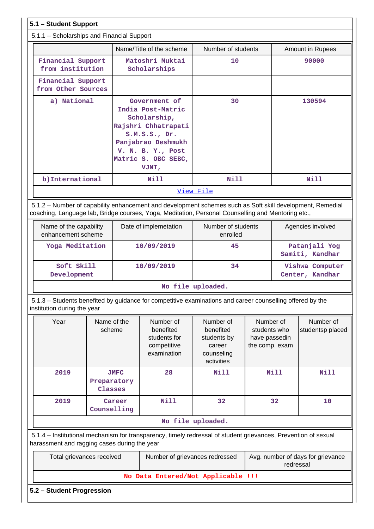| 5.1 - Student Support                                                                                                                                                                                           |                        |                                                                                                                                                                       |                                                                      |                                                                             |                                                              |             |                                    |
|-----------------------------------------------------------------------------------------------------------------------------------------------------------------------------------------------------------------|------------------------|-----------------------------------------------------------------------------------------------------------------------------------------------------------------------|----------------------------------------------------------------------|-----------------------------------------------------------------------------|--------------------------------------------------------------|-------------|------------------------------------|
| 5.1.1 - Scholarships and Financial Support                                                                                                                                                                      |                        |                                                                                                                                                                       |                                                                      |                                                                             |                                                              |             |                                    |
|                                                                                                                                                                                                                 |                        |                                                                                                                                                                       | Name/Title of the scheme                                             | Number of students                                                          |                                                              |             | <b>Amount in Rupees</b>            |
| Financial Support<br>from institution                                                                                                                                                                           |                        |                                                                                                                                                                       | Matoshri Muktai<br>Scholarships                                      | 10                                                                          |                                                              | 90000       |                                    |
| Financial Support<br>from Other Sources                                                                                                                                                                         |                        |                                                                                                                                                                       |                                                                      |                                                                             |                                                              |             |                                    |
| a) National                                                                                                                                                                                                     |                        | Government of<br>India Post-Matric<br>Scholarship,<br>Rajshri Chhatrapati<br>S.M.S.S., Dr.<br>Panjabrao Deshmukh<br>V. N. B. Y., Post<br>Matric S. OBC SEBC,<br>VJNT, |                                                                      | 30                                                                          |                                                              | 130594      |                                    |
| b) International                                                                                                                                                                                                |                        |                                                                                                                                                                       | Nill                                                                 | Nill                                                                        |                                                              |             | Nill                               |
|                                                                                                                                                                                                                 |                        |                                                                                                                                                                       |                                                                      | View File                                                                   |                                                              |             |                                    |
| 5.1.2 - Number of capability enhancement and development schemes such as Soft skill development, Remedial<br>coaching, Language lab, Bridge courses, Yoga, Meditation, Personal Counselling and Mentoring etc., |                        |                                                                                                                                                                       |                                                                      |                                                                             |                                                              |             |                                    |
| Name of the capability<br>enhancement scheme                                                                                                                                                                    |                        | Date of implemetation                                                                                                                                                 |                                                                      | Number of students<br>enrolled                                              |                                                              |             | Agencies involved                  |
| Yoga Meditation                                                                                                                                                                                                 |                        | 10/09/2019                                                                                                                                                            |                                                                      | 45                                                                          |                                                              |             | Patanjali Yog<br>Samiti, Kandhar   |
| Soft Skill<br>Development                                                                                                                                                                                       |                        | 10/09/2019                                                                                                                                                            |                                                                      | 34                                                                          |                                                              |             | Vishwa Computer<br>Center, Kandhar |
|                                                                                                                                                                                                                 |                        |                                                                                                                                                                       |                                                                      | No file uploaded.                                                           |                                                              |             |                                    |
| 5.1.3 – Students benefited by guidance for competitive examinations and career counselling offered by the<br>institution during the year                                                                        |                        |                                                                                                                                                                       |                                                                      |                                                                             |                                                              |             |                                    |
| Year                                                                                                                                                                                                            | Name of the<br>scheme  |                                                                                                                                                                       | Number of<br>benefited<br>students for<br>competitive<br>examination | Number of<br>benefited<br>students by<br>career<br>counseling<br>activities | Number of<br>students who<br>have passedin<br>the comp. exam |             | Number of<br>studentsp placed      |
| 2019                                                                                                                                                                                                            | Preparatory<br>Classes | <b>JMFC</b>                                                                                                                                                           | 28                                                                   | Nill                                                                        |                                                              | <b>Nill</b> | <b>Nill</b>                        |
| 2019                                                                                                                                                                                                            | Counselling            | Career                                                                                                                                                                | Nill                                                                 | 32                                                                          |                                                              | 32          | 10                                 |
|                                                                                                                                                                                                                 |                        |                                                                                                                                                                       |                                                                      | No file uploaded.                                                           |                                                              |             |                                    |
| 5.1.4 - Institutional mechanism for transparency, timely redressal of student grievances, Prevention of sexual<br>harassment and ragging cases during the year                                                  |                        |                                                                                                                                                                       |                                                                      |                                                                             |                                                              |             |                                    |
| Total grievances received                                                                                                                                                                                       |                        |                                                                                                                                                                       | Number of grievances redressed                                       |                                                                             |                                                              | redressal   | Avg. number of days for grievance  |
|                                                                                                                                                                                                                 |                        |                                                                                                                                                                       | No Data Entered/Not Applicable !!!                                   |                                                                             |                                                              |             |                                    |
| 5.2 - Student Progression                                                                                                                                                                                       |                        |                                                                                                                                                                       |                                                                      |                                                                             |                                                              |             |                                    |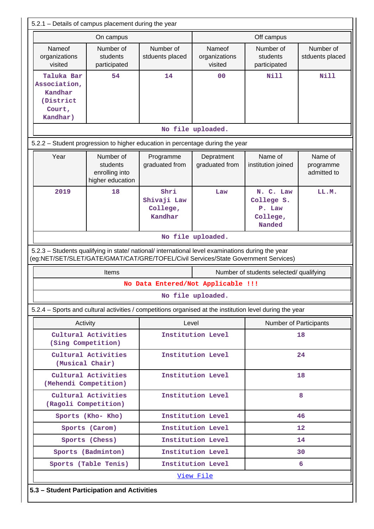|                                                                                                                                                                                        | 5.2.1 – Details of campus placement during the year         |                                            |                                    |                                                                |                                     |  |  |  |  |
|----------------------------------------------------------------------------------------------------------------------------------------------------------------------------------------|-------------------------------------------------------------|--------------------------------------------|------------------------------------|----------------------------------------------------------------|-------------------------------------|--|--|--|--|
|                                                                                                                                                                                        | On campus                                                   |                                            |                                    | Off campus                                                     |                                     |  |  |  |  |
| Nameof<br>organizations<br>visited                                                                                                                                                     | Number of<br>students<br>participated                       | Number of<br>stduents placed               | Nameof<br>organizations<br>visited | Number of<br>students<br>participated                          | Number of<br>stduents placed        |  |  |  |  |
| 54<br>Taluka Bar<br>Association,<br>Kandhar<br>(District<br>Court,<br>Kandhar)                                                                                                         |                                                             | 14                                         | 0 <sup>0</sup>                     | Nill                                                           | Nill                                |  |  |  |  |
|                                                                                                                                                                                        |                                                             |                                            | No file uploaded.                  |                                                                |                                     |  |  |  |  |
| 5.2.2 - Student progression to higher education in percentage during the year                                                                                                          |                                                             |                                            |                                    |                                                                |                                     |  |  |  |  |
| Year                                                                                                                                                                                   | Number of<br>students<br>enrolling into<br>higher education | Programme<br>graduated from                | Depratment<br>graduated from       | Name of<br>institution joined                                  | Name of<br>programme<br>admitted to |  |  |  |  |
| 2019                                                                                                                                                                                   | 18                                                          | Shri<br>Shivaji Law<br>College,<br>Kandhar | Law                                | N. C. Law<br>College S.<br>P. Law<br>College,<br><b>Nanded</b> | LL.M.                               |  |  |  |  |
| No file uploaded.                                                                                                                                                                      |                                                             |                                            |                                    |                                                                |                                     |  |  |  |  |
| 5.2.3 - Students qualifying in state/ national/ international level examinations during the year<br>(eg:NET/SET/SLET/GATE/GMAT/CAT/GRE/TOFEL/Civil Services/State Government Services) |                                                             |                                            |                                    |                                                                |                                     |  |  |  |  |
|                                                                                                                                                                                        | Items                                                       |                                            |                                    | Number of students selected/ qualifying                        |                                     |  |  |  |  |
|                                                                                                                                                                                        |                                                             | No Data Entered/Not Applicable !!!         |                                    |                                                                |                                     |  |  |  |  |
|                                                                                                                                                                                        |                                                             |                                            | No file uploaded.                  |                                                                |                                     |  |  |  |  |
| 5.2.4 - Sports and cultural activities / competitions organised at the institution level during the year                                                                               |                                                             |                                            |                                    |                                                                |                                     |  |  |  |  |
|                                                                                                                                                                                        | Activity                                                    | Level                                      |                                    | Number of Participants                                         |                                     |  |  |  |  |
|                                                                                                                                                                                        | Cultural Activities<br>(Sing Competition)                   |                                            | Institution Level                  | 18                                                             |                                     |  |  |  |  |
|                                                                                                                                                                                        | Cultural Activities<br>(Musical Chair)                      |                                            | Institution Level                  |                                                                | 24                                  |  |  |  |  |
|                                                                                                                                                                                        | Cultural Activities<br>(Mehendi Competition)                |                                            | Institution Level                  | 18                                                             |                                     |  |  |  |  |
|                                                                                                                                                                                        | Cultural Activities<br>(Ragoli Competition)                 |                                            | Institution Level                  |                                                                | 8                                   |  |  |  |  |
|                                                                                                                                                                                        | Sports (Kho- Kho)                                           |                                            | Institution Level                  |                                                                | 46                                  |  |  |  |  |
|                                                                                                                                                                                        | Sports (Carom)                                              |                                            | Institution Level                  |                                                                | $12 \overline{ }$                   |  |  |  |  |
|                                                                                                                                                                                        | Sports (Chess)                                              |                                            | Institution Level                  |                                                                | 14                                  |  |  |  |  |
|                                                                                                                                                                                        | Sports (Badminton)                                          |                                            | Institution Level                  |                                                                | 30                                  |  |  |  |  |
|                                                                                                                                                                                        |                                                             | Institution Level<br>6                     |                                    |                                                                |                                     |  |  |  |  |
|                                                                                                                                                                                        | Sports (Table Tenis)                                        |                                            |                                    |                                                                |                                     |  |  |  |  |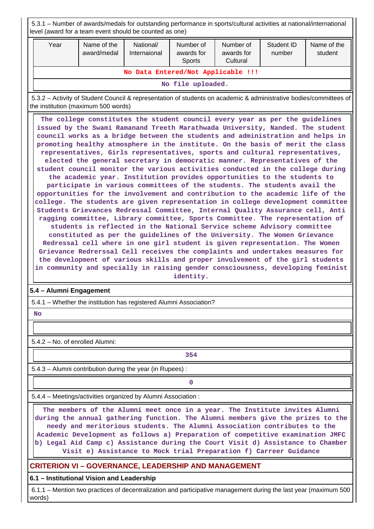| level (award for a team event should be counted as one)     | 5.3.1 – Number of awards/medals for outstanding performance in sports/cultural activities at national/international                                                                                                                                                                                                                                                                                                                                                                                                                                                                                                                                                                                                                                                                                                                                                                                                                                                                                                                                                                                                                                                                                                                                                                                                                                                                                                                                                                                                                                                                         |                           |                                          |                                     |                      |                        |  |  |  |
|-------------------------------------------------------------|---------------------------------------------------------------------------------------------------------------------------------------------------------------------------------------------------------------------------------------------------------------------------------------------------------------------------------------------------------------------------------------------------------------------------------------------------------------------------------------------------------------------------------------------------------------------------------------------------------------------------------------------------------------------------------------------------------------------------------------------------------------------------------------------------------------------------------------------------------------------------------------------------------------------------------------------------------------------------------------------------------------------------------------------------------------------------------------------------------------------------------------------------------------------------------------------------------------------------------------------------------------------------------------------------------------------------------------------------------------------------------------------------------------------------------------------------------------------------------------------------------------------------------------------------------------------------------------------|---------------------------|------------------------------------------|-------------------------------------|----------------------|------------------------|--|--|--|
| Year                                                        | Name of the<br>award/medal                                                                                                                                                                                                                                                                                                                                                                                                                                                                                                                                                                                                                                                                                                                                                                                                                                                                                                                                                                                                                                                                                                                                                                                                                                                                                                                                                                                                                                                                                                                                                                  | National/<br>Internaional | Number of<br>awards for<br><b>Sports</b> | Number of<br>awards for<br>Cultural | Student ID<br>number | Name of the<br>student |  |  |  |
|                                                             |                                                                                                                                                                                                                                                                                                                                                                                                                                                                                                                                                                                                                                                                                                                                                                                                                                                                                                                                                                                                                                                                                                                                                                                                                                                                                                                                                                                                                                                                                                                                                                                             |                           | No Data Entered/Not Applicable !!!       |                                     |                      |                        |  |  |  |
| No file uploaded.                                           |                                                                                                                                                                                                                                                                                                                                                                                                                                                                                                                                                                                                                                                                                                                                                                                                                                                                                                                                                                                                                                                                                                                                                                                                                                                                                                                                                                                                                                                                                                                                                                                             |                           |                                          |                                     |                      |                        |  |  |  |
|                                                             | 5.3.2 – Activity of Student Council & representation of students on academic & administrative bodies/committees of<br>the institution (maximum 500 words)                                                                                                                                                                                                                                                                                                                                                                                                                                                                                                                                                                                                                                                                                                                                                                                                                                                                                                                                                                                                                                                                                                                                                                                                                                                                                                                                                                                                                                   |                           |                                          |                                     |                      |                        |  |  |  |
|                                                             | The college constitutes the student council every year as per the guidelines<br>issued by the Swami Ramanand Treeth Marathwada University, Nanded. The student<br>council works as a bridge between the students and administration and helps in<br>promoting healthy atmosphere in the institute. On the basis of merit the class<br>representatives, Girls representatives, sports and cultural representatives,<br>elected the general secretary in democratic manner. Representatives of the<br>student council monitor the various activities conducted in the college during<br>the academic year. Institution provides opportunities to the students to<br>participate in various committees of the students. The students avail the<br>opportunities for the involvement and contribution to the academic life of the<br>college. The students are given representation in college development committee<br>Students Grievances Redressal Committee, Internal Quality Assurance cell, Anti<br>ragging committee, Library committee, Sports Committee. The representation of<br>students is reflected in the National Service scheme Advisory committee<br>constituted as per the guidelines of the University. The Women Grievance<br>Redressal cell where in one girl student is given representation. The Women<br>Grievance Redrerssal Cell receives the complaints and undertakes measures for<br>the development of various skills and proper involvement of the girl students<br>in community and specially in raising gender consciousness, developing feminist<br>identity. |                           |                                          |                                     |                      |                        |  |  |  |
| 5.4 - Alumni Engagement                                     |                                                                                                                                                                                                                                                                                                                                                                                                                                                                                                                                                                                                                                                                                                                                                                                                                                                                                                                                                                                                                                                                                                                                                                                                                                                                                                                                                                                                                                                                                                                                                                                             |                           |                                          |                                     |                      |                        |  |  |  |
| <b>No</b>                                                   | 5.4.1 - Whether the institution has registered Alumni Association?                                                                                                                                                                                                                                                                                                                                                                                                                                                                                                                                                                                                                                                                                                                                                                                                                                                                                                                                                                                                                                                                                                                                                                                                                                                                                                                                                                                                                                                                                                                          |                           |                                          |                                     |                      |                        |  |  |  |
|                                                             |                                                                                                                                                                                                                                                                                                                                                                                                                                                                                                                                                                                                                                                                                                                                                                                                                                                                                                                                                                                                                                                                                                                                                                                                                                                                                                                                                                                                                                                                                                                                                                                             |                           |                                          |                                     |                      |                        |  |  |  |
| 5.4.2 - No. of enrolled Alumni:                             |                                                                                                                                                                                                                                                                                                                                                                                                                                                                                                                                                                                                                                                                                                                                                                                                                                                                                                                                                                                                                                                                                                                                                                                                                                                                                                                                                                                                                                                                                                                                                                                             |                           |                                          |                                     |                      |                        |  |  |  |
|                                                             |                                                                                                                                                                                                                                                                                                                                                                                                                                                                                                                                                                                                                                                                                                                                                                                                                                                                                                                                                                                                                                                                                                                                                                                                                                                                                                                                                                                                                                                                                                                                                                                             |                           | 354                                      |                                     |                      |                        |  |  |  |
|                                                             | 5.4.3 - Alumni contribution during the year (in Rupees):                                                                                                                                                                                                                                                                                                                                                                                                                                                                                                                                                                                                                                                                                                                                                                                                                                                                                                                                                                                                                                                                                                                                                                                                                                                                                                                                                                                                                                                                                                                                    |                           |                                          |                                     |                      |                        |  |  |  |
|                                                             |                                                                                                                                                                                                                                                                                                                                                                                                                                                                                                                                                                                                                                                                                                                                                                                                                                                                                                                                                                                                                                                                                                                                                                                                                                                                                                                                                                                                                                                                                                                                                                                             |                           | 0                                        |                                     |                      |                        |  |  |  |
|                                                             |                                                                                                                                                                                                                                                                                                                                                                                                                                                                                                                                                                                                                                                                                                                                                                                                                                                                                                                                                                                                                                                                                                                                                                                                                                                                                                                                                                                                                                                                                                                                                                                             |                           |                                          |                                     |                      |                        |  |  |  |
|                                                             | 5.4.4 - Meetings/activities organized by Alumni Association :<br>The members of the Alumni meet once in a year. The Institute invites Alumni<br>during the annual gathering function. The Alumni members give the prizes to the<br>needy and meritorious students. The Alumni Association contributes to the<br>Academic Development as follows a) Preparation of competitive examination JMFC<br>b) Legal Aid Camp c) Assistance during the Court Visit d) Assistance to Chamber<br>Visit e) Assistance to Mock trial Preparation f) Carreer Guidance                                                                                                                                                                                                                                                                                                                                                                                                                                                                                                                                                                                                                                                                                                                                                                                                                                                                                                                                                                                                                                      |                           |                                          |                                     |                      |                        |  |  |  |
| <b>CRITERION VI - GOVERNANCE, LEADERSHIP AND MANAGEMENT</b> | 6.1 - Institutional Vision and Leadership                                                                                                                                                                                                                                                                                                                                                                                                                                                                                                                                                                                                                                                                                                                                                                                                                                                                                                                                                                                                                                                                                                                                                                                                                                                                                                                                                                                                                                                                                                                                                   |                           |                                          |                                     |                      |                        |  |  |  |

 6.1.1 – Mention two practices of decentralization and participative management during the last year (maximum 500 words)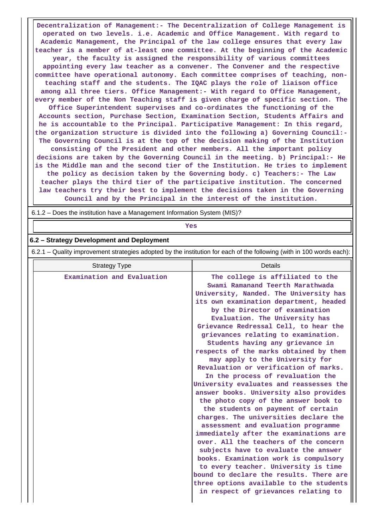**Decentralization of Management:- The Decentralization of College Management is operated on two levels. i.e. Academic and Office Management. With regard to Academic Management, the Principal of the law college ensures that every law teacher is a member of at-least one committee. At the beginning of the Academic year, the faculty is assigned the responsibility of various committees appointing every law teacher as a convener. The Convener and the respective committee have operational autonomy. Each committee comprises of teaching, nonteaching staff and the students. The IQAC plays the role of liaison office among all three tiers. Office Management:- With regard to Office Management, every member of the Non Teaching staff is given charge of specific section. The Office Superintendent supervises and co-ordinates the functioning of the Accounts section, Purchase Section, Examination Section, Students Affairs and he is accountable to the Principal. Participative Management: In this regard, the organization structure is divided into the following a) Governing Council:- The Governing Council is at the top of the decision making of the Institution consisting of the President and other members. All the important policy decisions are taken by the Governing Council in the meeting. b) Principal:- He is the Middle man and the second tier of the Institution. He tries to implement the policy as decision taken by the Governing body. c) Teachers:- The Law teacher plays the third tier of the participative institution. The concerned law teachers try their best to implement the decisions taken in the Governing Council and by the Principal in the interest of the institution.**

6.1.2 – Does the institution have a Management Information System (MIS)?

## *Yes*

#### **6.2 – Strategy Development and Deployment**

6.2.1 – Quality improvement strategies adopted by the institution for each of the following (with in 100 words each):

| <b>Strategy Type</b>       | Details                                                                                                                                                                                                                                                                                                                                                                                                                                                                                                                                                                                                                                                                                                                                                                                                                                                                                                                                                                                                                                                          |
|----------------------------|------------------------------------------------------------------------------------------------------------------------------------------------------------------------------------------------------------------------------------------------------------------------------------------------------------------------------------------------------------------------------------------------------------------------------------------------------------------------------------------------------------------------------------------------------------------------------------------------------------------------------------------------------------------------------------------------------------------------------------------------------------------------------------------------------------------------------------------------------------------------------------------------------------------------------------------------------------------------------------------------------------------------------------------------------------------|
| Examination and Evaluation | The college is affiliated to the<br>Swami Ramanand Teerth Marathwada<br>University, Nanded. The University has<br>its own examination department, headed<br>by the Director of examination<br>Evaluation. The University has<br>Grievance Redressal Cell, to hear the<br>grievances relating to examination.<br>Students having any grievance in<br>respects of the marks obtained by them<br>may apply to the University for<br>Revaluation or verification of marks.<br>In the process of revaluation the<br>University evaluates and reassesses the<br>answer books. University also provides<br>the photo copy of the answer book to<br>the students on payment of certain<br>charges. The universities declare the<br>assessment and evaluation programme<br>immediately after the examinations are<br>over. All the teachers of the concern<br>subjects have to evaluate the answer<br>books. Examination work is compulsory<br>to every teacher. University is time<br>bound to declare the results. There are<br>three options available to the students |
|                            | in respect of grievances relating to                                                                                                                                                                                                                                                                                                                                                                                                                                                                                                                                                                                                                                                                                                                                                                                                                                                                                                                                                                                                                             |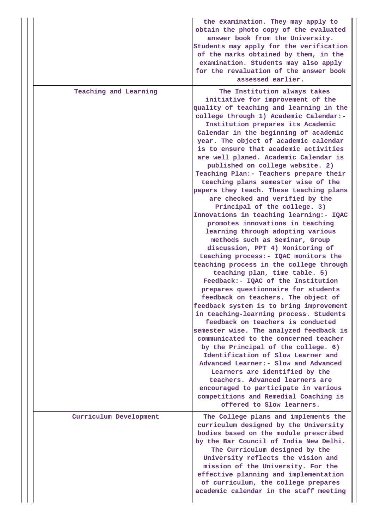|                        | the examination. They may apply to<br>obtain the photo copy of the evaluated<br>answer book from the University.<br>Students may apply for the verification<br>of the marks obtained by them, in the<br>examination. Students may also apply<br>for the revaluation of the answer book<br>assessed earlier.                                                                                                                                                                                                                                                                                                                                                                                                                                                                                                                                                                                                                                                                                                                                                                                                                                                                                                |
|------------------------|------------------------------------------------------------------------------------------------------------------------------------------------------------------------------------------------------------------------------------------------------------------------------------------------------------------------------------------------------------------------------------------------------------------------------------------------------------------------------------------------------------------------------------------------------------------------------------------------------------------------------------------------------------------------------------------------------------------------------------------------------------------------------------------------------------------------------------------------------------------------------------------------------------------------------------------------------------------------------------------------------------------------------------------------------------------------------------------------------------------------------------------------------------------------------------------------------------|
| Teaching and Learning  | The Institution always takes<br>initiative for improvement of the<br>quality of teaching and learning in the<br>college through 1) Academic Calendar:-<br>Institution prepares its Academic<br>Calendar in the beginning of academic<br>year. The object of academic calendar<br>is to ensure that academic activities<br>are well planed. Academic Calendar is<br>published on college website. 2)<br>Teaching Plan:- Teachers prepare their<br>teaching plans semester wise of the<br>papers they teach. These teaching plans<br>are checked and verified by the<br>Principal of the college. 3)<br>Innovations in teaching learning:- IQAC<br>promotes innovations in teaching<br>learning through adopting various<br>methods such as Seminar, Group<br>discussion, PPT 4) Monitoring of<br>teaching process: - IQAC monitors the<br>teaching process in the college through<br>teaching plan, time table. 5)<br>Feedback:- IQAC of the Institution<br>prepares questionnaire for students<br>feedback on teachers. The object of<br>feedback system is to bring improvement<br>in teaching-learning process. Students<br>feedback on teachers is conducted<br>semester wise. The analyzed feedback is |
|                        | communicated to the concerned teacher<br>by the Principal of the college. 6)<br>Identification of Slow Learner and<br>Advanced Learner: - Slow and Advanced<br>Learners are identified by the<br>teachers. Advanced learners are<br>encouraged to participate in various<br>competitions and Remedial Coaching is<br>offered to Slow learners.                                                                                                                                                                                                                                                                                                                                                                                                                                                                                                                                                                                                                                                                                                                                                                                                                                                             |
| Curriculum Development | The College plans and implements the<br>curriculum designed by the University<br>bodies based on the module prescribed<br>by the Bar Council of India New Delhi.<br>The Curriculum designed by the<br>University reflects the vision and<br>mission of the University. For the<br>effective planning and implementation<br>of curriculum, the college prepares<br>academic calendar in the staff meeting                                                                                                                                                                                                                                                                                                                                                                                                                                                                                                                                                                                                                                                                                                                                                                                                   |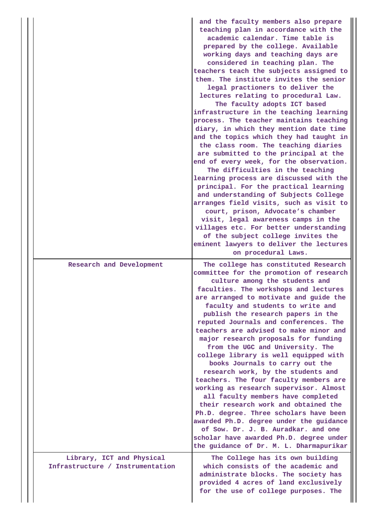|                                                               | and the faculty members also prepare<br>teaching plan in accordance with the<br>academic calendar. Time table is<br>prepared by the college. Available<br>working days and teaching days are<br>considered in teaching plan. The<br>teachers teach the subjects assigned to<br>them. The institute invites the senior<br>legal practioners to deliver the<br>lectures relating to procedural Law.<br>The faculty adopts ICT based<br>infrastructure in the teaching learning<br>process. The teacher maintains teaching<br>diary, in which they mention date time<br>and the topics which they had taught in<br>the class room. The teaching diaries<br>are submitted to the principal at the<br>end of every week, for the observation.<br>The difficulties in the teaching<br>learning process are discussed with the<br>principal. For the practical learning<br>and understanding of Subjects College<br>arranges field visits, such as visit to<br>court, prison, Advocate's chamber<br>visit, legal awareness camps in the<br>villages etc. For better understanding<br>of the subject college invites the<br>eminent lawyers to deliver the lectures<br>on procedural Laws. |
|---------------------------------------------------------------|------------------------------------------------------------------------------------------------------------------------------------------------------------------------------------------------------------------------------------------------------------------------------------------------------------------------------------------------------------------------------------------------------------------------------------------------------------------------------------------------------------------------------------------------------------------------------------------------------------------------------------------------------------------------------------------------------------------------------------------------------------------------------------------------------------------------------------------------------------------------------------------------------------------------------------------------------------------------------------------------------------------------------------------------------------------------------------------------------------------------------------------------------------------------------------|
| Research and Development                                      | The college has constituted Research<br>committee for the promotion of research<br>culture among the students and<br>faculties. The workshops and lectures<br>are arranged to motivate and guide the<br>faculty and students to write and<br>publish the research papers in the<br>reputed Journals and conferences. The<br>teachers are advised to make minor and<br>major research proposals for funding<br>from the UGC and University. The<br>college library is well equipped with<br>books Journals to carry out the<br>research work, by the students and<br>teachers. The four faculty members are<br>working as research supervisor. Almost<br>all faculty members have completed<br>their research work and obtained the<br>Ph.D. degree. Three scholars have been<br>awarded Ph.D. degree under the guidance<br>of Sow. Dr. J. B. Auradkar. and one<br>scholar have awarded Ph.D. degree under<br>the guidance of Dr. M. L. Dharmapurikar                                                                                                                                                                                                                               |
| Library, ICT and Physical<br>Infrastructure / Instrumentation | The College has its own building<br>which consists of the academic and<br>administrate blocks. The society has<br>provided 4 acres of land exclusively<br>for the use of college purposes. The                                                                                                                                                                                                                                                                                                                                                                                                                                                                                                                                                                                                                                                                                                                                                                                                                                                                                                                                                                                     |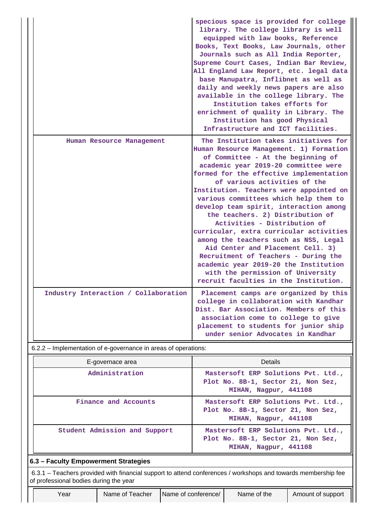|                                      | specious space is provided for college<br>library. The college library is well<br>equipped with law books, Reference<br>Books, Text Books, Law Journals, other<br>Journals such as All India Reporter,<br>Supreme Court Cases, Indian Bar Review,<br>All England Law Report, etc. legal data<br>base Manupatra, Inflibnet as well as<br>daily and weekly news papers are also<br>available in the college library. The<br>Institution takes efforts for<br>enrichment of quality in Library. The<br>Institution has good Physical<br>Infrastructure and ICT facilities.                                                                                                                                                             |
|--------------------------------------|-------------------------------------------------------------------------------------------------------------------------------------------------------------------------------------------------------------------------------------------------------------------------------------------------------------------------------------------------------------------------------------------------------------------------------------------------------------------------------------------------------------------------------------------------------------------------------------------------------------------------------------------------------------------------------------------------------------------------------------|
| Human Resource Management            | The Institution takes initiatives for<br>Human Resource Management. 1) Formation<br>of Committee - At the beginning of<br>academic year 2019-20 committee were<br>formed for the effective implementation<br>of various activities of the<br>Institution. Teachers were appointed on<br>various committees which help them to<br>develop team spirit, interaction among<br>the teachers. 2) Distribution of<br>Activities - Distribution of<br>curricular, extra curricular activities<br>among the teachers such as NSS, Legal<br>Aid Center and Placement Cell. 3)<br>Recruitment of Teachers - During the<br>academic year 2019-20 the Institution<br>with the permission of University<br>recruit faculties in the Institution. |
| Industry Interaction / Collaboration | Placement camps are organized by this<br>college in collaboration with Kandhar<br>Dist. Bar Association. Members of this<br>association come to college to give<br>placement to students for junior ship<br>under senior Advocates in Kandhar                                                                                                                                                                                                                                                                                                                                                                                                                                                                                       |

6.2.2 – Implementation of e-governance in areas of operations:

| E-governace area                     | <b>Details</b>                                                                                     |  |  |  |  |  |  |  |  |
|--------------------------------------|----------------------------------------------------------------------------------------------------|--|--|--|--|--|--|--|--|
| Administration                       | Mastersoft ERP Solutions Pvt. Ltd.,<br>Plot No. 8B-1, Sector 21, Non Sez,<br>MIHAN, Nagpur, 441108 |  |  |  |  |  |  |  |  |
| Finance and Accounts                 | Mastersoft ERP Solutions Pvt. Ltd.,<br>Plot No. 8B-1, Sector 21, Non Sez,<br>MIHAN, Nagpur, 441108 |  |  |  |  |  |  |  |  |
| Student Admission and Support        | Mastersoft ERP Solutions Pvt. Ltd.,<br>Plot No. 8B-1, Sector 21, Non Sez,<br>MIHAN, Nagpur, 441108 |  |  |  |  |  |  |  |  |
| 6.3 - Faculty Empowerment Strategies |                                                                                                    |  |  |  |  |  |  |  |  |

 6.3.1 – Teachers provided with financial support to attend conferences / workshops and towards membership fee of professional bodies during the year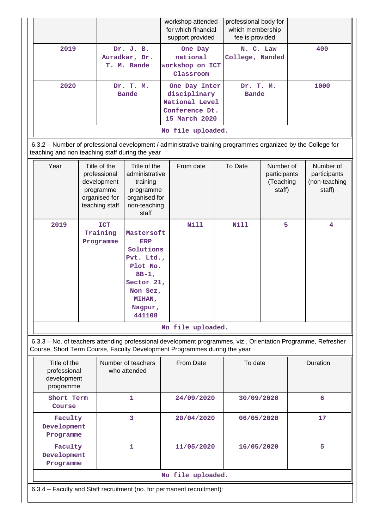|                                                                                                                                                                 | 2019<br>Dr. J. B.<br>Auradkar, Dr.<br>T. M. Bande                                                   |                                                                                                                                                                             |                                                                                                   | workshop attended<br>for which financial<br>support provided |                                                                                    | professional body for<br>which membership<br>fee is provided                                                                                                                               |                           |                                                  |      |                                                      |  |
|-----------------------------------------------------------------------------------------------------------------------------------------------------------------|-----------------------------------------------------------------------------------------------------|-----------------------------------------------------------------------------------------------------------------------------------------------------------------------------|---------------------------------------------------------------------------------------------------|--------------------------------------------------------------|------------------------------------------------------------------------------------|--------------------------------------------------------------------------------------------------------------------------------------------------------------------------------------------|---------------------------|--------------------------------------------------|------|------------------------------------------------------|--|
|                                                                                                                                                                 |                                                                                                     |                                                                                                                                                                             | One Day<br>national<br>workshop on ICT<br>Classroom                                               |                                                              | N. C. Law<br>College, Nanded                                                       |                                                                                                                                                                                            | 400                       |                                                  |      |                                                      |  |
|                                                                                                                                                                 | 2020                                                                                                |                                                                                                                                                                             | Dr. T. M.<br><b>Bande</b>                                                                         |                                                              | One Day Inter<br>disciplinary<br>National Level<br>Conference Dt.<br>15 March 2020 |                                                                                                                                                                                            | Dr. T. M.<br><b>Bande</b> |                                                  | 1000 |                                                      |  |
|                                                                                                                                                                 |                                                                                                     |                                                                                                                                                                             |                                                                                                   |                                                              |                                                                                    | No file uploaded.                                                                                                                                                                          |                           |                                                  |      |                                                      |  |
| 6.3.2 - Number of professional development / administrative training programmes organized by the College for<br>teaching and non teaching staff during the year |                                                                                                     |                                                                                                                                                                             |                                                                                                   |                                                              |                                                                                    |                                                                                                                                                                                            |                           |                                                  |      |                                                      |  |
|                                                                                                                                                                 | Year<br>Title of the<br>professional<br>development<br>programme<br>organised for<br>teaching staff |                                                                                                                                                                             | Title of the<br>administrative<br>training<br>programme<br>organised for<br>non-teaching<br>staff |                                                              | From date                                                                          |                                                                                                                                                                                            | To Date                   | Number of<br>participants<br>(Teaching<br>staff) |      | Number of<br>participants<br>(non-teaching<br>staff) |  |
|                                                                                                                                                                 | 2019                                                                                                | <b>ICT</b><br>Training<br>Mastersoft<br><b>ERP</b><br>Programme<br>Solutions<br>Pvt. Ltd.,<br>Plot No.<br>$8B-1$ ,<br>Sector 21,<br>Non Sez,<br>MIHAN,<br>Nagpur,<br>441108 |                                                                                                   |                                                              | <b>Nill</b>                                                                        |                                                                                                                                                                                            | <b>Nill</b>               | 5                                                |      | $\overline{\mathbf{4}}$                              |  |
|                                                                                                                                                                 |                                                                                                     |                                                                                                                                                                             |                                                                                                   |                                                              |                                                                                    | No file uploaded.                                                                                                                                                                          |                           |                                                  |      |                                                      |  |
|                                                                                                                                                                 |                                                                                                     |                                                                                                                                                                             |                                                                                                   |                                                              |                                                                                    | 6.3.3 - No. of teachers attending professional development programmes, viz., Orientation Programme, Refresher<br>Course, Short Term Course, Faculty Development Programmes during the year |                           |                                                  |      |                                                      |  |
|                                                                                                                                                                 | Title of the<br>professional<br>development<br>programme                                            |                                                                                                                                                                             | Number of teachers<br>who attended                                                                |                                                              | From Date                                                                          | To date                                                                                                                                                                                    |                           |                                                  |      | Duration                                             |  |
|                                                                                                                                                                 | Short Term<br>1<br>Course                                                                           |                                                                                                                                                                             |                                                                                                   | 24/09/2020                                                   |                                                                                    | 30/09/2020                                                                                                                                                                                 |                           | 6                                                |      |                                                      |  |
|                                                                                                                                                                 | 3<br>Faculty<br>Development<br>Programme                                                            |                                                                                                                                                                             |                                                                                                   | 20/04/2020                                                   |                                                                                    | 06/05/2020                                                                                                                                                                                 |                           |                                                  | 17   |                                                      |  |
|                                                                                                                                                                 | 1<br>Faculty<br>Development<br>Programme                                                            |                                                                                                                                                                             |                                                                                                   | 11/05/2020                                                   |                                                                                    | 16/05/2020                                                                                                                                                                                 |                           | 5                                                |      |                                                      |  |
|                                                                                                                                                                 |                                                                                                     |                                                                                                                                                                             |                                                                                                   |                                                              |                                                                                    | No file uploaded.                                                                                                                                                                          |                           |                                                  |      |                                                      |  |
|                                                                                                                                                                 | 6.3.4 - Faculty and Staff recruitment (no. for permanent recruitment):                              |                                                                                                                                                                             |                                                                                                   |                                                              |                                                                                    |                                                                                                                                                                                            |                           |                                                  |      |                                                      |  |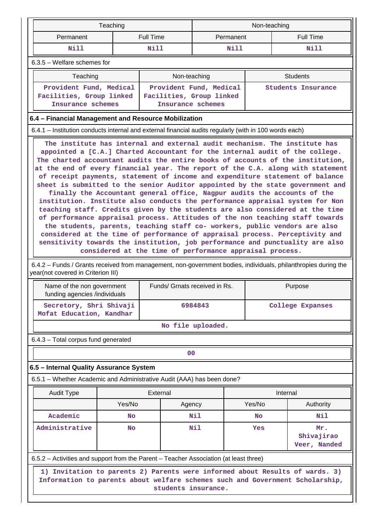|                               |                                                                                                                                                                                                                                                                                                                                                                                                                                                                                                                                                                                                                                                                                                                                                                                                                                                                                                                                                                                                                                                                                                                                                                                                                                                                                                                                                                                                    | Teaching |                          | Non-teaching      |           |             |                    |  |  |  |  |
|-------------------------------|----------------------------------------------------------------------------------------------------------------------------------------------------------------------------------------------------------------------------------------------------------------------------------------------------------------------------------------------------------------------------------------------------------------------------------------------------------------------------------------------------------------------------------------------------------------------------------------------------------------------------------------------------------------------------------------------------------------------------------------------------------------------------------------------------------------------------------------------------------------------------------------------------------------------------------------------------------------------------------------------------------------------------------------------------------------------------------------------------------------------------------------------------------------------------------------------------------------------------------------------------------------------------------------------------------------------------------------------------------------------------------------------------|----------|--------------------------|-------------------|-----------|-------------|--------------------|--|--|--|--|
|                               | Permanent                                                                                                                                                                                                                                                                                                                                                                                                                                                                                                                                                                                                                                                                                                                                                                                                                                                                                                                                                                                                                                                                                                                                                                                                                                                                                                                                                                                          |          | <b>Full Time</b>         | Permanent         |           |             | <b>Full Time</b>   |  |  |  |  |
|                               | Nill                                                                                                                                                                                                                                                                                                                                                                                                                                                                                                                                                                                                                                                                                                                                                                                                                                                                                                                                                                                                                                                                                                                                                                                                                                                                                                                                                                                               |          | Nill                     |                   | Nill      | <b>Nill</b> |                    |  |  |  |  |
| $6.3.5$ – Welfare schemes for |                                                                                                                                                                                                                                                                                                                                                                                                                                                                                                                                                                                                                                                                                                                                                                                                                                                                                                                                                                                                                                                                                                                                                                                                                                                                                                                                                                                                    |          |                          |                   |           |             |                    |  |  |  |  |
|                               | Non-teaching<br>Teaching<br><b>Students</b>                                                                                                                                                                                                                                                                                                                                                                                                                                                                                                                                                                                                                                                                                                                                                                                                                                                                                                                                                                                                                                                                                                                                                                                                                                                                                                                                                        |          |                          |                   |           |             |                    |  |  |  |  |
|                               | Provident Fund, Medical                                                                                                                                                                                                                                                                                                                                                                                                                                                                                                                                                                                                                                                                                                                                                                                                                                                                                                                                                                                                                                                                                                                                                                                                                                                                                                                                                                            |          | Provident Fund, Medical  |                   |           |             | Students Insurance |  |  |  |  |
|                               | Facilities, Group linked<br>Insurance schemes                                                                                                                                                                                                                                                                                                                                                                                                                                                                                                                                                                                                                                                                                                                                                                                                                                                                                                                                                                                                                                                                                                                                                                                                                                                                                                                                                      |          | Facilities, Group linked | Insurance schemes |           |             |                    |  |  |  |  |
|                               | 6.4 – Financial Management and Resource Mobilization                                                                                                                                                                                                                                                                                                                                                                                                                                                                                                                                                                                                                                                                                                                                                                                                                                                                                                                                                                                                                                                                                                                                                                                                                                                                                                                                               |          |                          |                   |           |             |                    |  |  |  |  |
|                               | 6.4.1 – Institution conducts internal and external financial audits regularly (with in 100 words each)                                                                                                                                                                                                                                                                                                                                                                                                                                                                                                                                                                                                                                                                                                                                                                                                                                                                                                                                                                                                                                                                                                                                                                                                                                                                                             |          |                          |                   |           |             |                    |  |  |  |  |
|                               | The institute has internal and external audit mechanism. The institute has                                                                                                                                                                                                                                                                                                                                                                                                                                                                                                                                                                                                                                                                                                                                                                                                                                                                                                                                                                                                                                                                                                                                                                                                                                                                                                                         |          |                          |                   |           |             |                    |  |  |  |  |
|                               | appointed a [C.A.] Charted Accountant for the internal audit of the college.<br>The charted accountant audits the entire books of accounts of the institution,<br>at the end of every financial year. The report of the C.A. along with statement<br>of receipt payments, statement of income and expenditure statement of balance<br>sheet is submitted to the senior Auditor appointed by the state government and<br>finally the Accountant general office, Nagpur audits the accounts of the<br>institution. Institute also conducts the performance appraisal system for Non<br>teaching staff. Credits given by the students are also considered at the time<br>of performance appraisal process. Attitudes of the non teaching staff towards<br>the students, parents, teaching staff co- workers, public vendors are also<br>considered at the time of performance of appraisal process. Perceptivity and<br>sensitivity towards the institution, job performance and punctuality are also<br>considered at the time of performance appraisal process.<br>6.4.2 – Funds / Grants received from management, non-government bodies, individuals, philanthropies during the<br>year(not covered in Criterion III)<br>Funds/ Grnats received in Rs.<br>Purpose<br>Name of the non government<br>funding agencies /individuals<br>Secretory, Shri Shivaji<br>6984843<br><b>College Expanses</b> |          |                          |                   |           |             |                    |  |  |  |  |
|                               |                                                                                                                                                                                                                                                                                                                                                                                                                                                                                                                                                                                                                                                                                                                                                                                                                                                                                                                                                                                                                                                                                                                                                                                                                                                                                                                                                                                                    |          |                          | No file uploaded. |           |             |                    |  |  |  |  |
|                               | 6.4.3 - Total corpus fund generated                                                                                                                                                                                                                                                                                                                                                                                                                                                                                                                                                                                                                                                                                                                                                                                                                                                                                                                                                                                                                                                                                                                                                                                                                                                                                                                                                                |          |                          |                   |           |             |                    |  |  |  |  |
|                               |                                                                                                                                                                                                                                                                                                                                                                                                                                                                                                                                                                                                                                                                                                                                                                                                                                                                                                                                                                                                                                                                                                                                                                                                                                                                                                                                                                                                    |          |                          | 0 <sub>0</sub>    |           |             |                    |  |  |  |  |
|                               | 6.5 - Internal Quality Assurance System                                                                                                                                                                                                                                                                                                                                                                                                                                                                                                                                                                                                                                                                                                                                                                                                                                                                                                                                                                                                                                                                                                                                                                                                                                                                                                                                                            |          |                          |                   |           |             |                    |  |  |  |  |
|                               | 6.5.1 – Whether Academic and Administrative Audit (AAA) has been done?                                                                                                                                                                                                                                                                                                                                                                                                                                                                                                                                                                                                                                                                                                                                                                                                                                                                                                                                                                                                                                                                                                                                                                                                                                                                                                                             |          |                          |                   |           |             |                    |  |  |  |  |
|                               | <b>Audit Type</b>                                                                                                                                                                                                                                                                                                                                                                                                                                                                                                                                                                                                                                                                                                                                                                                                                                                                                                                                                                                                                                                                                                                                                                                                                                                                                                                                                                                  |          | External                 |                   |           |             | Internal           |  |  |  |  |
|                               |                                                                                                                                                                                                                                                                                                                                                                                                                                                                                                                                                                                                                                                                                                                                                                                                                                                                                                                                                                                                                                                                                                                                                                                                                                                                                                                                                                                                    |          | Agency                   | Yes/No            |           |             | Authority          |  |  |  |  |
|                               | Academic                                                                                                                                                                                                                                                                                                                                                                                                                                                                                                                                                                                                                                                                                                                                                                                                                                                                                                                                                                                                                                                                                                                                                                                                                                                                                                                                                                                           |          | Nil                      |                   | <b>No</b> |             | Nil                |  |  |  |  |
|                               | Administrative                                                                                                                                                                                                                                                                                                                                                                                                                                                                                                                                                                                                                                                                                                                                                                                                                                                                                                                                                                                                                                                                                                                                                                                                                                                                                                                                                                                     | No       |                          | Nil<br><b>Yes</b> |           |             | Mr.                |  |  |  |  |
|                               | Shivajirao<br>Veer, Nanded                                                                                                                                                                                                                                                                                                                                                                                                                                                                                                                                                                                                                                                                                                                                                                                                                                                                                                                                                                                                                                                                                                                                                                                                                                                                                                                                                                         |          |                          |                   |           |             |                    |  |  |  |  |
|                               | 6.5.2 – Activities and support from the Parent – Teacher Association (at least three)                                                                                                                                                                                                                                                                                                                                                                                                                                                                                                                                                                                                                                                                                                                                                                                                                                                                                                                                                                                                                                                                                                                                                                                                                                                                                                              |          |                          |                   |           |             |                    |  |  |  |  |
|                               | 1) Invitation to parents 2) Parents were informed about Results of wards. 3)<br>Information to parents about welfare schemes such and Government Scholarship,<br>students insurance.                                                                                                                                                                                                                                                                                                                                                                                                                                                                                                                                                                                                                                                                                                                                                                                                                                                                                                                                                                                                                                                                                                                                                                                                               |          |                          |                   |           |             |                    |  |  |  |  |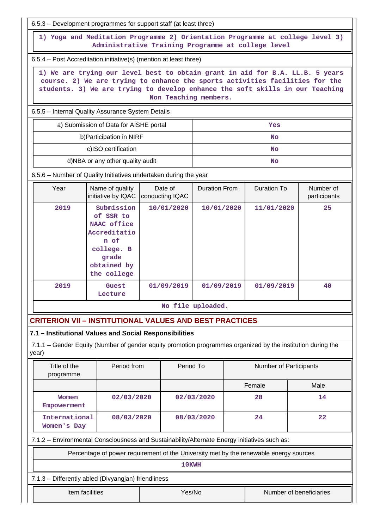| 6.5.3 – Development programmes for support staff (at least three)                                                                                                                                                                                                                                                                                                                                                                                                                                                                                                                                                                                                                                                                                         |                                                                                                      |                            |                      |                    |                           |  |  |  |  |  |  |  |
|-----------------------------------------------------------------------------------------------------------------------------------------------------------------------------------------------------------------------------------------------------------------------------------------------------------------------------------------------------------------------------------------------------------------------------------------------------------------------------------------------------------------------------------------------------------------------------------------------------------------------------------------------------------------------------------------------------------------------------------------------------------|------------------------------------------------------------------------------------------------------|----------------------------|----------------------|--------------------|---------------------------|--|--|--|--|--|--|--|
| 1) Yoga and Meditation Programme 2) Orientation Programme at college level 3)<br>Administrative Training Programme at college level                                                                                                                                                                                                                                                                                                                                                                                                                                                                                                                                                                                                                       |                                                                                                      |                            |                      |                    |                           |  |  |  |  |  |  |  |
| 6.5.4 – Post Accreditation initiative(s) (mention at least three)                                                                                                                                                                                                                                                                                                                                                                                                                                                                                                                                                                                                                                                                                         |                                                                                                      |                            |                      |                    |                           |  |  |  |  |  |  |  |
| 1) We are trying our level best to obtain grant in aid for B.A. LL.B. 5 years<br>course. 2) We are trying to enhance the sports activities facilities for the<br>students. 3) We are trying to develop enhance the soft skills in our Teaching<br>Non Teaching members.                                                                                                                                                                                                                                                                                                                                                                                                                                                                                   |                                                                                                      |                            |                      |                    |                           |  |  |  |  |  |  |  |
| 6.5.5 - Internal Quality Assurance System Details                                                                                                                                                                                                                                                                                                                                                                                                                                                                                                                                                                                                                                                                                                         |                                                                                                      |                            |                      |                    |                           |  |  |  |  |  |  |  |
|                                                                                                                                                                                                                                                                                                                                                                                                                                                                                                                                                                                                                                                                                                                                                           | a) Submission of Data for AISHE portal<br>Yes                                                        |                            |                      |                    |                           |  |  |  |  |  |  |  |
| b) Participation in NIRF<br><b>No</b>                                                                                                                                                                                                                                                                                                                                                                                                                                                                                                                                                                                                                                                                                                                     |                                                                                                      |                            |                      |                    |                           |  |  |  |  |  |  |  |
|                                                                                                                                                                                                                                                                                                                                                                                                                                                                                                                                                                                                                                                                                                                                                           | c)ISO certification                                                                                  |                            |                      | <b>No</b>          |                           |  |  |  |  |  |  |  |
|                                                                                                                                                                                                                                                                                                                                                                                                                                                                                                                                                                                                                                                                                                                                                           | d)NBA or any other quality audit                                                                     |                            |                      | <b>No</b>          |                           |  |  |  |  |  |  |  |
| 6.5.6 - Number of Quality Initiatives undertaken during the year                                                                                                                                                                                                                                                                                                                                                                                                                                                                                                                                                                                                                                                                                          |                                                                                                      |                            |                      |                    |                           |  |  |  |  |  |  |  |
| Year                                                                                                                                                                                                                                                                                                                                                                                                                                                                                                                                                                                                                                                                                                                                                      | Name of quality<br>initiative by IQAC                                                                | Date of<br>conducting IQAC | <b>Duration From</b> | <b>Duration To</b> | Number of<br>participants |  |  |  |  |  |  |  |
| 2019                                                                                                                                                                                                                                                                                                                                                                                                                                                                                                                                                                                                                                                                                                                                                      | Submission<br>of SSR to<br>NAAC office<br>Accreditatio<br>n of<br>college. B<br>grade<br>obtained by |                            | 10/01/2020           | 11/01/2020         | 25                        |  |  |  |  |  |  |  |
| 2019                                                                                                                                                                                                                                                                                                                                                                                                                                                                                                                                                                                                                                                                                                                                                      | Guest<br>Lecture                                                                                     |                            |                      |                    | 40                        |  |  |  |  |  |  |  |
|                                                                                                                                                                                                                                                                                                                                                                                                                                                                                                                                                                                                                                                                                                                                                           |                                                                                                      |                            |                      |                    |                           |  |  |  |  |  |  |  |
|                                                                                                                                                                                                                                                                                                                                                                                                                                                                                                                                                                                                                                                                                                                                                           |                                                                                                      |                            |                      |                    |                           |  |  |  |  |  |  |  |
|                                                                                                                                                                                                                                                                                                                                                                                                                                                                                                                                                                                                                                                                                                                                                           |                                                                                                      |                            |                      |                    |                           |  |  |  |  |  |  |  |
| year)                                                                                                                                                                                                                                                                                                                                                                                                                                                                                                                                                                                                                                                                                                                                                     |                                                                                                      |                            |                      |                    |                           |  |  |  |  |  |  |  |
| Title of the<br>programme                                                                                                                                                                                                                                                                                                                                                                                                                                                                                                                                                                                                                                                                                                                                 |                                                                                                      |                            |                      |                    |                           |  |  |  |  |  |  |  |
|                                                                                                                                                                                                                                                                                                                                                                                                                                                                                                                                                                                                                                                                                                                                                           |                                                                                                      |                            |                      | Female<br>Male     |                           |  |  |  |  |  |  |  |
| Women                                                                                                                                                                                                                                                                                                                                                                                                                                                                                                                                                                                                                                                                                                                                                     |                                                                                                      |                            | 28                   |                    | 14                        |  |  |  |  |  |  |  |
|                                                                                                                                                                                                                                                                                                                                                                                                                                                                                                                                                                                                                                                                                                                                                           |                                                                                                      |                            | 24<br>22             |                    |                           |  |  |  |  |  |  |  |
|                                                                                                                                                                                                                                                                                                                                                                                                                                                                                                                                                                                                                                                                                                                                                           |                                                                                                      |                            |                      |                    |                           |  |  |  |  |  |  |  |
|                                                                                                                                                                                                                                                                                                                                                                                                                                                                                                                                                                                                                                                                                                                                                           |                                                                                                      |                            |                      |                    |                           |  |  |  |  |  |  |  |
|                                                                                                                                                                                                                                                                                                                                                                                                                                                                                                                                                                                                                                                                                                                                                           |                                                                                                      |                            |                      |                    |                           |  |  |  |  |  |  |  |
|                                                                                                                                                                                                                                                                                                                                                                                                                                                                                                                                                                                                                                                                                                                                                           | Item facilities                                                                                      | Yes/No                     |                      |                    | Number of beneficiaries   |  |  |  |  |  |  |  |
| 10/01/2020<br>the college<br>01/09/2019<br>01/09/2019<br>01/09/2019<br>No file uploaded.<br><b>CRITERION VII - INSTITUTIONAL VALUES AND BEST PRACTICES</b><br>7.1 - Institutional Values and Social Responsibilities<br>7.1.1 – Gender Equity (Number of gender equity promotion programmes organized by the institution during the<br>Period from<br>Period To<br>Number of Participants<br>02/03/2020<br>02/03/2020<br>Empowerment<br>International<br>08/03/2020<br>08/03/2020<br>Women's Day<br>7.1.2 - Environmental Consciousness and Sustainability/Alternate Energy initiatives such as:<br>Percentage of power requirement of the University met by the renewable energy sources<br>10KWH<br>7.1.3 - Differently abled (Divyangjan) friendliness |                                                                                                      |                            |                      |                    |                           |  |  |  |  |  |  |  |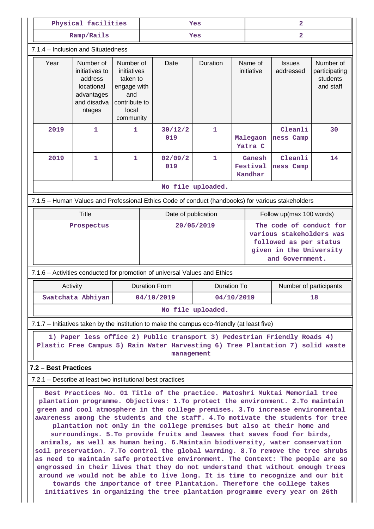|            |                                                                                                                                                                                                                                                                                                                                                                                                                                                                                                                                                                                                                                                                                                                                                                                                                                                                                                                                                                                                                                                                                                                                       | Physical facilities                                                                                                                                                                              |   | Yes                 |                                                                                                                                                                          |                    |  | 2                             |                                                                                                                             |                                                     |  |
|------------|---------------------------------------------------------------------------------------------------------------------------------------------------------------------------------------------------------------------------------------------------------------------------------------------------------------------------------------------------------------------------------------------------------------------------------------------------------------------------------------------------------------------------------------------------------------------------------------------------------------------------------------------------------------------------------------------------------------------------------------------------------------------------------------------------------------------------------------------------------------------------------------------------------------------------------------------------------------------------------------------------------------------------------------------------------------------------------------------------------------------------------------|--------------------------------------------------------------------------------------------------------------------------------------------------------------------------------------------------|---|---------------------|--------------------------------------------------------------------------------------------------------------------------------------------------------------------------|--------------------|--|-------------------------------|-----------------------------------------------------------------------------------------------------------------------------|-----------------------------------------------------|--|
|            |                                                                                                                                                                                                                                                                                                                                                                                                                                                                                                                                                                                                                                                                                                                                                                                                                                                                                                                                                                                                                                                                                                                                       | Ramp/Rails                                                                                                                                                                                       |   | $\mathbf{2}$<br>Yes |                                                                                                                                                                          |                    |  |                               |                                                                                                                             |                                                     |  |
|            |                                                                                                                                                                                                                                                                                                                                                                                                                                                                                                                                                                                                                                                                                                                                                                                                                                                                                                                                                                                                                                                                                                                                       | 7.1.4 - Inclusion and Situatedness                                                                                                                                                               |   |                     |                                                                                                                                                                          |                    |  |                               |                                                                                                                             |                                                     |  |
|            | Year                                                                                                                                                                                                                                                                                                                                                                                                                                                                                                                                                                                                                                                                                                                                                                                                                                                                                                                                                                                                                                                                                                                                  | Number of<br>Number of<br>initiatives to<br>initiatives<br>taken to<br>address<br>locational<br>engage with<br>and<br>advantages<br>and disadva<br>contribute to<br>local<br>ntages<br>community |   |                     | Date                                                                                                                                                                     | Duration           |  | Name of<br>initiative         | <b>Issues</b><br>addressed                                                                                                  | Number of<br>participating<br>students<br>and staff |  |
|            | 2019                                                                                                                                                                                                                                                                                                                                                                                                                                                                                                                                                                                                                                                                                                                                                                                                                                                                                                                                                                                                                                                                                                                                  | 1                                                                                                                                                                                                | 1 |                     | 30/12/2<br>019                                                                                                                                                           | $\mathbf{1}$       |  | Malegaon<br>Yatra C           | Cleanli<br>ness Camp                                                                                                        | 30                                                  |  |
|            | 2019                                                                                                                                                                                                                                                                                                                                                                                                                                                                                                                                                                                                                                                                                                                                                                                                                                                                                                                                                                                                                                                                                                                                  | 1                                                                                                                                                                                                | 1 |                     | 02/09/2<br>019                                                                                                                                                           | 1                  |  | Ganesh<br>Festival<br>Kandhar | Cleanli<br>ness Camp                                                                                                        | 14                                                  |  |
|            |                                                                                                                                                                                                                                                                                                                                                                                                                                                                                                                                                                                                                                                                                                                                                                                                                                                                                                                                                                                                                                                                                                                                       |                                                                                                                                                                                                  |   |                     |                                                                                                                                                                          | No file uploaded.  |  |                               |                                                                                                                             |                                                     |  |
|            |                                                                                                                                                                                                                                                                                                                                                                                                                                                                                                                                                                                                                                                                                                                                                                                                                                                                                                                                                                                                                                                                                                                                       |                                                                                                                                                                                                  |   |                     | 7.1.5 - Human Values and Professional Ethics Code of conduct (handbooks) for various stakeholders                                                                        |                    |  |                               |                                                                                                                             |                                                     |  |
|            |                                                                                                                                                                                                                                                                                                                                                                                                                                                                                                                                                                                                                                                                                                                                                                                                                                                                                                                                                                                                                                                                                                                                       | Title                                                                                                                                                                                            |   |                     | Date of publication                                                                                                                                                      |                    |  | Follow up(max 100 words)      |                                                                                                                             |                                                     |  |
| Prospectus |                                                                                                                                                                                                                                                                                                                                                                                                                                                                                                                                                                                                                                                                                                                                                                                                                                                                                                                                                                                                                                                                                                                                       |                                                                                                                                                                                                  |   |                     | 20/05/2019                                                                                                                                                               |                    |  |                               | The code of conduct for<br>various stakeholders was<br>followed as per status<br>given in the University<br>and Government. |                                                     |  |
|            |                                                                                                                                                                                                                                                                                                                                                                                                                                                                                                                                                                                                                                                                                                                                                                                                                                                                                                                                                                                                                                                                                                                                       |                                                                                                                                                                                                  |   |                     | 7.1.6 - Activities conducted for promotion of universal Values and Ethics                                                                                                |                    |  |                               |                                                                                                                             |                                                     |  |
|            | Activity                                                                                                                                                                                                                                                                                                                                                                                                                                                                                                                                                                                                                                                                                                                                                                                                                                                                                                                                                                                                                                                                                                                              |                                                                                                                                                                                                  |   |                     | <b>Duration From</b>                                                                                                                                                     | <b>Duration To</b> |  |                               | Number of participants                                                                                                      |                                                     |  |
|            |                                                                                                                                                                                                                                                                                                                                                                                                                                                                                                                                                                                                                                                                                                                                                                                                                                                                                                                                                                                                                                                                                                                                       | Swatchata Abhiyan                                                                                                                                                                                |   |                     | 04/10/2019<br>04/10/2019                                                                                                                                                 |                    |  |                               |                                                                                                                             | 18                                                  |  |
|            |                                                                                                                                                                                                                                                                                                                                                                                                                                                                                                                                                                                                                                                                                                                                                                                                                                                                                                                                                                                                                                                                                                                                       |                                                                                                                                                                                                  |   |                     |                                                                                                                                                                          | No file uploaded.  |  |                               |                                                                                                                             |                                                     |  |
|            |                                                                                                                                                                                                                                                                                                                                                                                                                                                                                                                                                                                                                                                                                                                                                                                                                                                                                                                                                                                                                                                                                                                                       |                                                                                                                                                                                                  |   |                     | 7.1.7 - Initiatives taken by the institution to make the campus eco-friendly (at least five)                                                                             |                    |  |                               |                                                                                                                             |                                                     |  |
|            |                                                                                                                                                                                                                                                                                                                                                                                                                                                                                                                                                                                                                                                                                                                                                                                                                                                                                                                                                                                                                                                                                                                                       |                                                                                                                                                                                                  |   |                     | 1) Paper less office 2) Public transport 3) Pedestrian Friendly Roads 4)<br>Plastic Free Campus 5) Rain Water Harvesting 6) Tree Plantation 7) solid waste<br>management |                    |  |                               |                                                                                                                             |                                                     |  |
|            | 7.2 - Best Practices                                                                                                                                                                                                                                                                                                                                                                                                                                                                                                                                                                                                                                                                                                                                                                                                                                                                                                                                                                                                                                                                                                                  |                                                                                                                                                                                                  |   |                     |                                                                                                                                                                          |                    |  |                               |                                                                                                                             |                                                     |  |
|            |                                                                                                                                                                                                                                                                                                                                                                                                                                                                                                                                                                                                                                                                                                                                                                                                                                                                                                                                                                                                                                                                                                                                       |                                                                                                                                                                                                  |   |                     |                                                                                                                                                                          |                    |  |                               |                                                                                                                             |                                                     |  |
|            | 7.2.1 – Describe at least two institutional best practices<br>Best Practices No. 01 Title of the practice. Matoshri Muktai Memorial tree<br>plantation programme. Objectives: 1.To protect the environment. 2.To maintain<br>green and cool atmosphere in the college premises. 3.To increase environmental<br>awareness among the students and the staff. 4.To motivate the students for tree<br>plantation not only in the college premises but also at their home and<br>surroundings. 5.To provide fruits and leaves that saves food for birds,<br>animals, as well as human being. 6. Maintain biodiversity, water conservation<br>soil preservation. 7.To control the global warming. 8.To remove the tree shrubs<br>as need to maintain safe protective environment. The Context: The people are so<br>engrossed in their lives that they do not understand that without enough trees<br>around we would not be able to live long. It is time to recognize and our bit<br>towards the importance of tree Plantation. Therefore the college takes<br>initiatives in organizing the tree plantation programme every year on 26th |                                                                                                                                                                                                  |   |                     |                                                                                                                                                                          |                    |  |                               |                                                                                                                             |                                                     |  |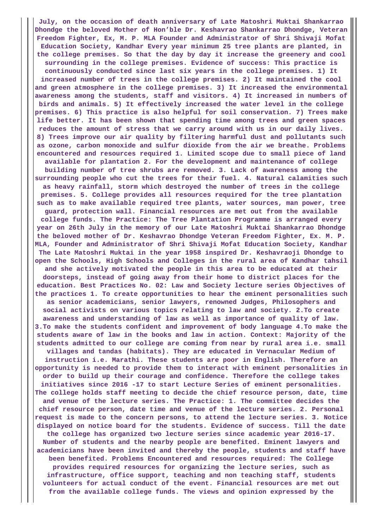**July, on the occasion of death anniversary of Late Matoshri Muktai Shankarrao Dhondge the beloved Mother of Hon'ble Dr. Keshavrao Shankarrao Dhondge, Veteran Freedom Fighter, Ex, M. P. MLA Founder and Administrator of Shri Shivaji Mofat Education Society, Kandhar Every year minimum 25 tree plants are planted, in the college premises. So that the day by day it increase the greenery and cool surrounding in the college premises. Evidence of success: This practice is continuously conducted since last six years in the college premises. 1) It increased number of trees in the college premises. 2) It maintained the cool and green atmosphere in the college premises. 3) It increased the environmental awareness among the students, staff and visitors. 4) It increased in numbers of birds and animals. 5) It effectively increased the water level in the college premises. 6) This practice is also helpful for soil conservation. 7) Trees make life better. It has been shown that spending time among trees and green spaces reduces the amount of stress that we carry around with us in our daily lives. 8) Trees improve our air quality by filtering harmful dust and pollutants such as ozone, carbon monoxide and sulfur dioxide from the air we breathe. Problems encountered and resources required 1. Limited scope due to small piece of land available for plantation 2. For the development and maintenance of college building number of tree shrubs are removed. 3. Lack of awareness among the surrounding people who cut the trees for their fuel. 4. Natural calamities such as heavy rainfall, storm which destroyed the number of trees in the college premises. 5. College provides all resources required for the tree plantation such as to make available required tree plants, water sources, man power, tree guard, protection wall. Financial resources are met out from the available college funds. The Practice: The Tree Plantation Programme is arranged every year on 26th July in the memory of our Late Matoshri Muktai Shankarrao Dhondge the beloved mother of Dr. Keshavrao Dhondge Veteran Freedom Fighter, Ex. M. P. MLA, Founder and Administrator of Shri Shivaji Mofat Education Society, Kandhar The Late Matoshri Muktai in the year 1958 inspired Dr. Keshavraoji Dhondge to open the Schools, High Schools and Colleges in the rural area of Kandhar tahsil and she actively motivated the people in this area to be educated at their doorsteps, instead of going away from their home to district places for the education. Best Practices No. 02: Law and Society lecture series Objectives of the practices 1. To create opportunities to hear the eminent personalities such as senior academicians, senior lawyers, renowned Judges, Philosophers and social activists on various topics relating to law and society. 2.To create awareness and understanding of law as well as importance of quality of law. 3.To make the students confident and improvement of body language 4.To make the students aware of law in the books and law in action. Context: Majority of the students admitted to our college are coming from near by rural area i.e. small villages and tandas (habitats). They are educated in Vernacular Medium of instruction i.e. Marathi. These students are poor in English. Therefore an opportunity is needed to provide them to interact with eminent personalities in order to build up their courage and confidence. Therefore the college takes initiatives since 2016 -17 to start Lecture Series of eminent personalities. The college holds staff meeting to decide the chief resource person, date, time and venue of the lecture series. The Practice: 1. The committee decides the chief resource person, date time and venue of the lecture series. 2. Personal request is made to the concern persons, to attend the lecture series. 3. Notice displayed on notice board for the students. Evidence of success. Till the date the college has organized two lecture series since academic year 2016-17. Number of students and the nearby people are benefited. Eminent lawyers and academicians have been invited and thereby the people, students and staff have been benefited. Problems Encountered and resources required: The College provides required resources for organizing the lecture series, such as infrastructure, office support, teaching and non teaching staff, students volunteers for actual conduct of the event. Financial resources are met out from the available college funds. The views and opinion expressed by the**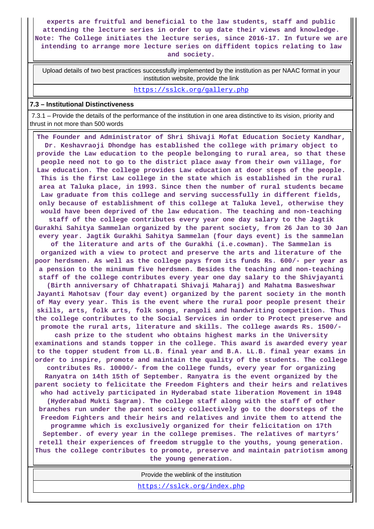**experts are fruitful and beneficial to the law students, staff and public attending the lecture series in order to up date their views and knowledge. Note: The College initiates the lecture series, since 2016-17. In future we are intending to arrange more lecture series on diffident topics relating to law and society.**

 Upload details of two best practices successfully implemented by the institution as per NAAC format in your institution website, provide the link

<https://sslck.org/gallery.php>

#### **7.3 – Institutional Distinctiveness**

 7.3.1 – Provide the details of the performance of the institution in one area distinctive to its vision, priority and thrust in not more than 500 words

 **The Founder and Administrator of Shri Shivaji Mofat Education Society Kandhar, Dr. Keshavraoji Dhondge has established the college with primary object to provide the Law education to the people belonging to rural area, so that these people need not to go to the district place away from their own village, for Law education. The college provides Law education at door steps of the people. This is the first Law college in the state which is established in the rural area at Taluka place, in 1993. Since then the number of rural students became Law graduate from this college and serving successfully in different fields, only because of establishment of this college at Taluka level, otherwise they would have been deprived of the law education. The teaching and non-teaching staff of the college contributes every year one day salary to the Jagtik Gurakhi Sahitya Sammelan organized by the parent society, from 26 Jan to 30 Jan every year. Jagtik Gurakhi Sahitya Sammelan (four days event) is the sammelan of the literature and arts of the Gurakhi (i.e.cowman). The Sammelan is organized with a view to protect and preserve the arts and literature of the poor herdsmen. As well as the college pays from its funds Rs. 600/- per year as a pension to the minimum five herdsmen. Besides the teaching and non-teaching staff of the college contributes every year one day salary to the Shivjayanti (Birth anniversary of Chhatrapati Shivaji Maharaj) and Mahatma Basweshwar Jayanti Mahotsav (four day event) organized by the parent society in the month of May every year. This is the event where the rural poor people present their skills, arts, folk arts, folk songs, rangoli and handwriting competition. Thus the college contributes to the Social Services in order to Protect preserve and promote the rural arts, literature and skills. The college awards Rs. 1500/ cash prize to the student who obtains highest marks in the University examinations and stands topper in the college. This award is awarded every year to the topper student from LL.B. final year and B.A. LL.B. final year exams in order to inspire, promote and maintain the quality of the students. The college contributes Rs. 10000/- from the college funds, every year for organizing Ranyatra on 14th 15th of September. Ranyatra is the event organized by the parent society to felicitate the Freedom Fighters and their heirs and relatives who had actively participated in Hyderabad state liberation Movement in 1948 (Hyderabad Mukti Sagram). The college staff along with the staff of other branches run under the parent society collectively go to the doorsteps of the Freedom Fighters and their heirs and relatives and invite them to attend the programme which is exclusively organized for their felicitation on 17th September. of every year in the college premises. The relatives of martyrs' retell their experiences of freedom struggle to the youths, young generation. Thus the college contributes to promote, preserve and maintain patriotism among the young generation.**

Provide the weblink of the institution

<https://sslck.org/index.php>